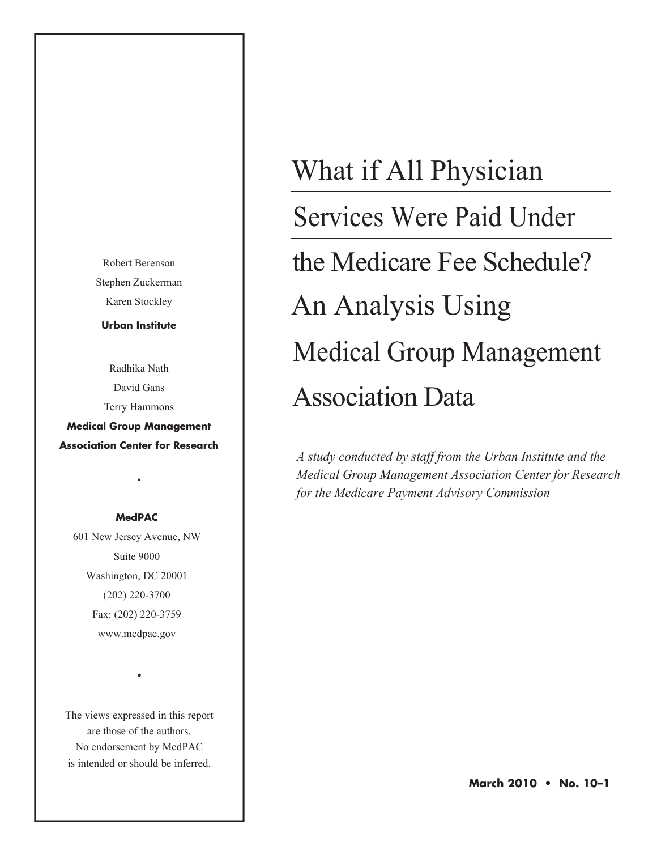Robert Berenson Stephen Zuckerman Karen Stockley

**Urban Institute**

Radhika Nath David Gans Terry Hammons **Medical Group Management**

**Association Center for Research**

•

#### **MedPAC**

601 New Jersey Avenue, NW Suite 9000 Washington, DC 20001 (202) 220-3700 Fax: (202) 220-3759 www.medpac.gov

The views expressed in this report are those of the authors. No endorsement by MedPAC is intended or should be inferred.

•

# What if All Physician

Services Were Paid Under

the Medicare Fee Schedule?

An Analysis Using

Medical Group Management

# Association Data

*A study conducted by staff from the Urban Institute and the Medical Group Management Association Center for Research for the Medicare Payment Advisory Commission*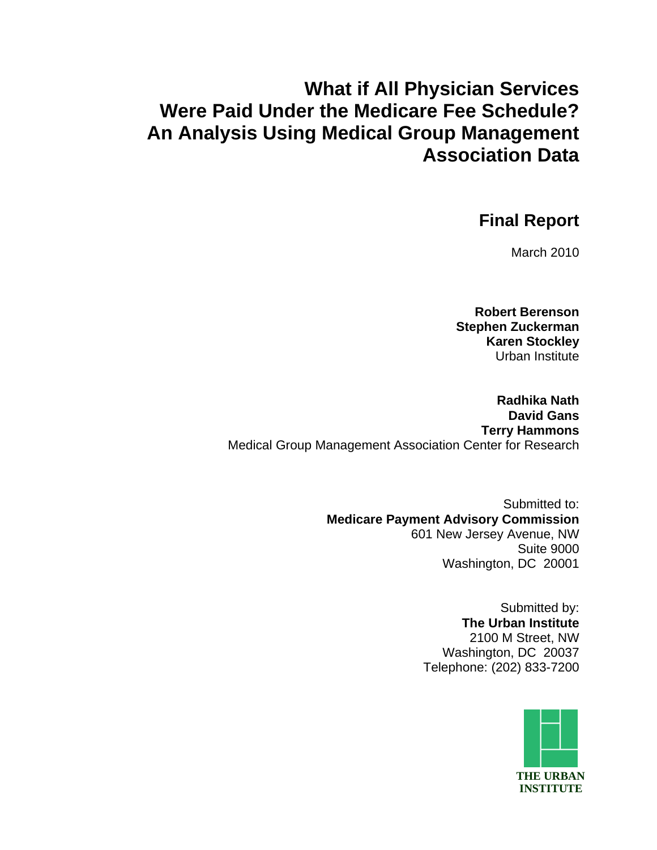# **What if All Physician Services Were Paid Under the Medicare Fee Schedule? An Analysis Using Medical Group Management Association Data**

## **Final Report**

March 2010

**Robert Berenson Stephen Zuckerman Karen Stockley**  Urban Institute

**Radhika Nath David Gans Terry Hammons**  Medical Group Management Association Center for Research

> Submitted to:  **Medicare Payment Advisory Commission**  601 New Jersey Avenue, NW Suite 9000 Washington, DC 20001

> > Submitted by:  **The Urban Institute**  2100 M Street, NW Washington, DC 20037 Telephone: (202) 833-7200

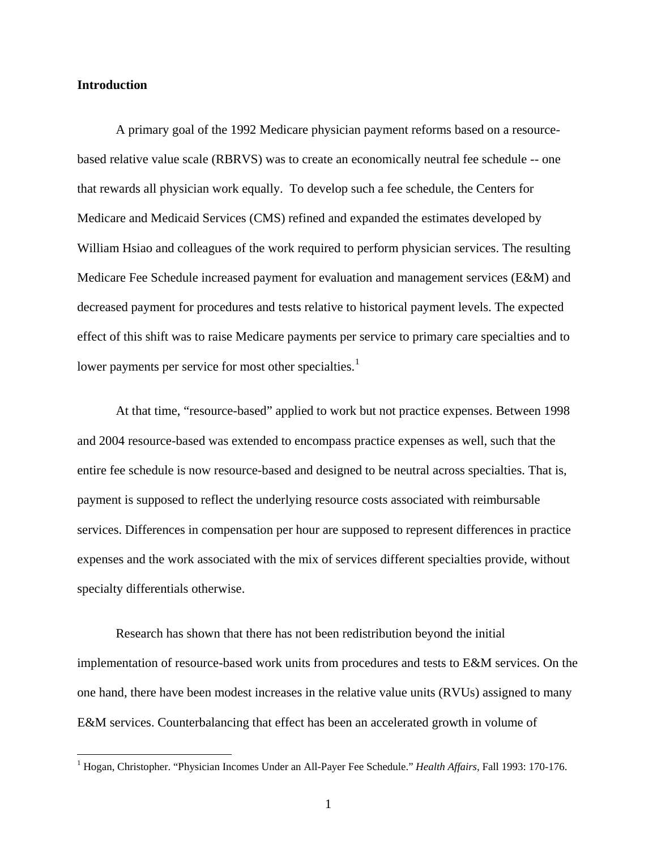#### **Introduction**

 $\overline{a}$ 

A primary goal of the 1992 Medicare physician payment reforms based on a resourcebased relative value scale (RBRVS) was to create an economically neutral fee schedule -- one that rewards all physician work equally. To develop such a fee schedule, the Centers for Medicare and Medicaid Services (CMS) refined and expanded the estimates developed by William Hsiao and colleagues of the work required to perform physician services. The resulting Medicare Fee Schedule increased payment for evaluation and management services (E&M) and decreased payment for procedures and tests relative to historical payment levels. The expected effect of this shift was to raise Medicare payments per service to primary care specialties and to lower payments per service for most other specialtie[s.](#page-2-0)<sup>1</sup>

At that time, "resource-based" applied to work but not practice expenses. Between 1998 and 2004 resource-based was extended to encompass practice expenses as well, such that the entire fee schedule is now resource-based and designed to be neutral across specialties. That is, payment is supposed to reflect the underlying resource costs associated with reimbursable services. Differences in compensation per hour are supposed to represent differences in practice expenses and the work associated with the mix of services different specialties provide, without specialty differentials otherwise.

Research has shown that there has not been redistribution beyond the initial implementation of resource-based work units from procedures and tests to E&M services. On the one hand, there have been modest increases in the relative value units (RVUs) assigned to many E&M services. Counterbalancing that effect has been an accelerated growth in volume of

<span id="page-2-0"></span><sup>&</sup>lt;sup>1</sup> Hogan, Christopher. "Physician Incomes Under an All-Payer Fee Schedule." *Health Affairs*, Fall 1993: 170-176.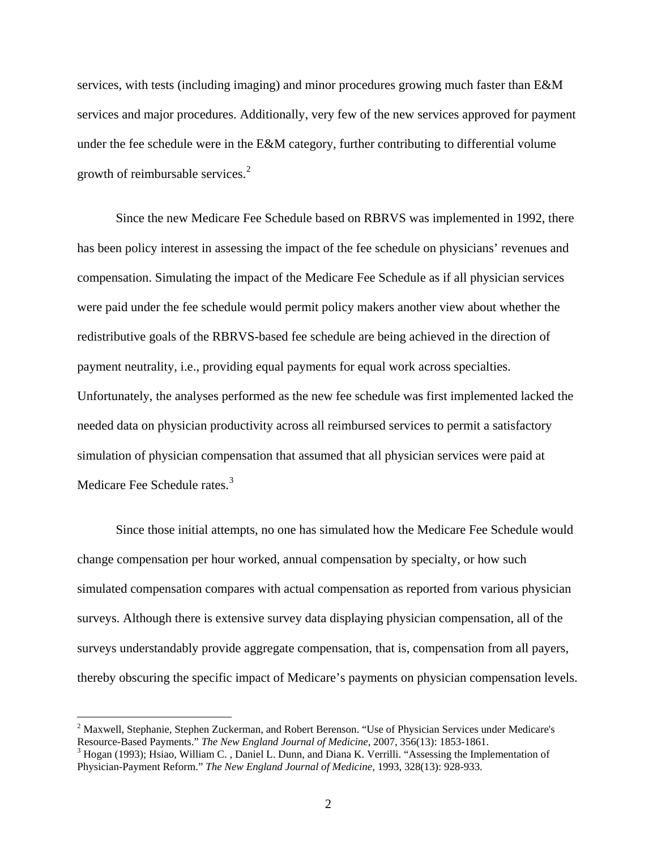services, with tests (including imaging) and minor procedures growing much faster than E&M services and major procedures. Additionally, very few of the new services approved for payment under the fee schedule were in the E&M category, further contributing to differential volume growth of r[e](#page-3-0)imbursable services.<sup>2</sup>

Since the new Medicare Fee Schedule based on RBRVS was implemented in 1992, there has been policy interest in assessing the impact of the fee schedule on physicians' revenues and compensation. Simulating the impact of the Medicare Fee Schedule as if all physician services were paid under the fee schedule would permit policy makers another view about whether the redistributive goals of the RBRVS-based fee schedule are being achieved in the direction of payment neutrality, i.e., providing equal payments for equal work across specialties. Unfortunately, the analyses performed as the new fee schedule was first implemented lacked the needed data on physician productivity across all reimbursed services to permit a satisfactory simulation of physician compensation that assumed that all physician services were paid at Medicare Fee Schedule rates.<sup>[3](#page-3-1)</sup>

Since those initial attempts, no one has simulated how the Medicare Fee Schedule would change compensation per hour worked, annual compensation by specialty, or how such simulated compensation compares with actual compensation as reported from various physician surveys. Although there is extensive survey data displaying physician compensation, all of the surveys understandably provide aggregate compensation, that is, compensation from all payers, thereby obscuring the specific impact of Medicare's payments on physician compensation levels.

 $\overline{a}$ 

<span id="page-3-0"></span><sup>&</sup>lt;sup>2</sup> Maxwell, Stephanie, Stephen Zuckerman, and Robert Berenson. "Use of Physician Services under Medicare's Resource-Based Payments." *The New England Journal of Medicine*, 2007, 356(13): 1853-1861.

<span id="page-3-1"></span> $3$  Hogan (1993); Hsiao, William C., Daniel L. Dunn, and Diana K. Verrilli. "Assessing the Implementation of Physician-Payment Reform." *The New England Journal of Medicine*, 1993, 328(13): 928-933.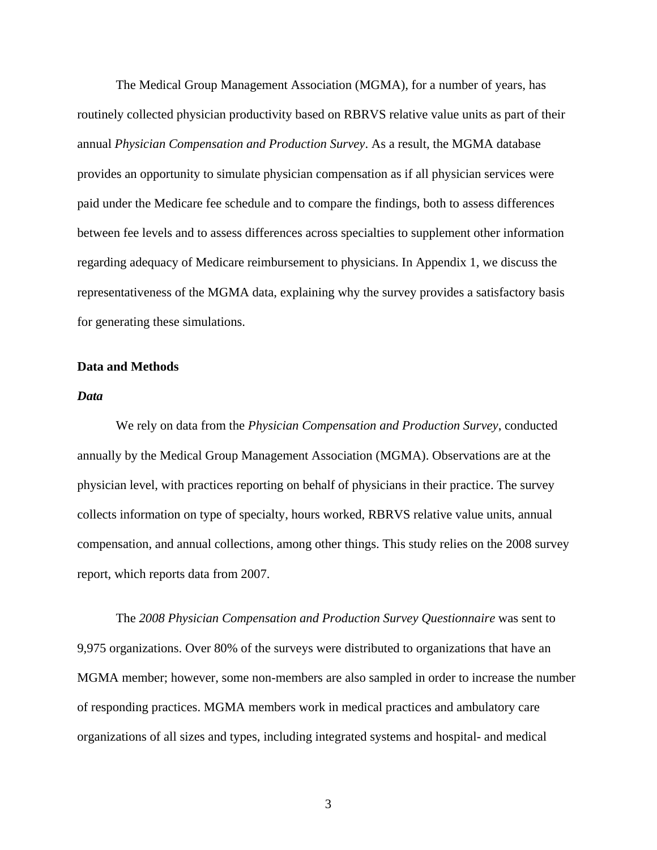The Medical Group Management Association (MGMA), for a number of years, has routinely collected physician productivity based on RBRVS relative value units as part of their annual *Physician Compensation and Production Survey*. As a result, the MGMA database provides an opportunity to simulate physician compensation as if all physician services were paid under the Medicare fee schedule and to compare the findings, both to assess differences between fee levels and to assess differences across specialties to supplement other information regarding adequacy of Medicare reimbursement to physicians. In Appendix 1, we discuss the representativeness of the MGMA data, explaining why the survey provides a satisfactory basis for generating these simulations.

#### **Data and Methods**

#### *Data*

We rely on data from the *Physician Compensation and Production Survey*, conducted annually by the Medical Group Management Association (MGMA). Observations are at the physician level, with practices reporting on behalf of physicians in their practice. The survey collects information on type of specialty, hours worked, RBRVS relative value units, annual compensation, and annual collections, among other things. This study relies on the 2008 survey report, which reports data from 2007.

The *2008 Physician Compensation and Production Survey Questionnaire* was sent to 9,975 organizations. Over 80% of the surveys were distributed to organizations that have an MGMA member; however, some non-members are also sampled in order to increase the number of responding practices. MGMA members work in medical practices and ambulatory care organizations of all sizes and types, including integrated systems and hospital- and medical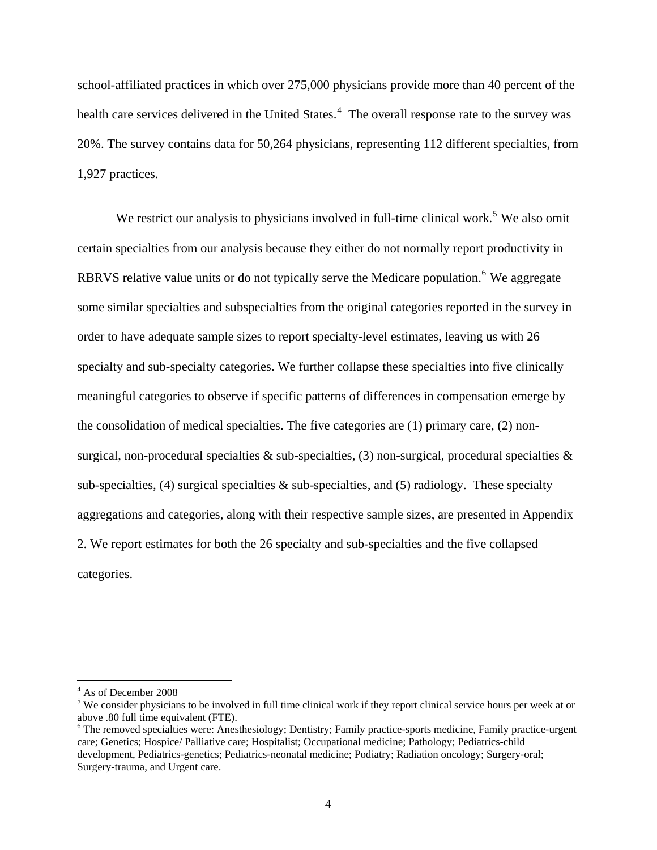school-affiliated practices in which over 275,000 physicians provide more than 40 percent of the health care services delivered in the United States.<sup>[4](#page-5-0)</sup> The overall response rate to the survey was 20%. The survey contains data for 50,264 physicians, representing 112 different specialties, from 1,927 practices.

We restrict our analysis to physicians involved in full-time clinical work.<sup>[5](#page-5-1)</sup> We also omit certain specialties from our analysis because they either do not normally report productivity in RBRVS relative value units or do not typically serve the Medicare population.<sup>[6](#page-5-2)</sup> We aggregate some similar specialties and subspecialties from the original categories reported in the survey in order to have adequate sample sizes to report specialty-level estimates, leaving us with 26 specialty and sub-specialty categories. We further collapse these specialties into five clinically meaningful categories to observe if specific patterns of differences in compensation emerge by the consolidation of medical specialties. The five categories are (1) primary care, (2) nonsurgical, non-procedural specialties  $\&$  sub-specialties, (3) non-surgical, procedural specialties  $\&$ sub-specialties,  $(4)$  surgical specialties & sub-specialties, and  $(5)$  radiology. These specialty aggregations and categories, along with their respective sample sizes, are presented in Appendix 2. We report estimates for both the 26 specialty and sub-specialties and the five collapsed categories.

<u>.</u>

<sup>4</sup> As of December 2008

<span id="page-5-1"></span><span id="page-5-0"></span><sup>&</sup>lt;sup>5</sup> We consider physicians to be involved in full time clinical work if they report clinical service hours per week at or above .80 full time equivalent (FTE).

<span id="page-5-2"></span><sup>&</sup>lt;sup>6</sup> The removed specialties were: Anesthesiology; Dentistry; Family practice-sports medicine, Family practice-urgent care; Genetics; Hospice/ Palliative care; Hospitalist; Occupational medicine; Pathology; Pediatrics-child development, Pediatrics-genetics; Pediatrics-neonatal medicine; Podiatry; Radiation oncology; Surgery-oral; Surgery-trauma, and Urgent care.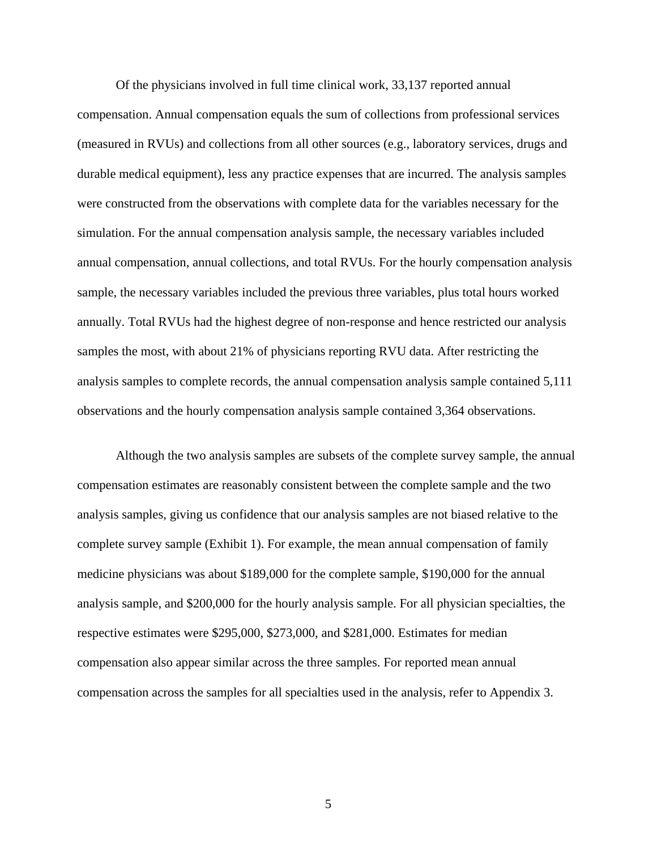Of the physicians involved in full time clinical work, 33,137 reported annual compensation. Annual compensation equals the sum of collections from professional services (measured in RVUs) and collections from all other sources (e.g., laboratory services, drugs and durable medical equipment), less any practice expenses that are incurred. The analysis samples were constructed from the observations with complete data for the variables necessary for the simulation. For the annual compensation analysis sample, the necessary variables included annual compensation, annual collections, and total RVUs. For the hourly compensation analysis sample, the necessary variables included the previous three variables, plus total hours worked annually. Total RVUs had the highest degree of non-response and hence restricted our analysis samples the most, with about 21% of physicians reporting RVU data. After restricting the analysis samples to complete records, the annual compensation analysis sample contained 5,111 observations and the hourly compensation analysis sample contained 3,364 observations.

Although the two analysis samples are subsets of the complete survey sample, the annual compensation estimates are reasonably consistent between the complete sample and the two analysis samples, giving us confidence that our analysis samples are not biased relative to the complete survey sample (Exhibit 1). For example, the mean annual compensation of family medicine physicians was about \$189,000 for the complete sample, \$190,000 for the annual analysis sample, and \$200,000 for the hourly analysis sample. For all physician specialties, the respective estimates were \$295,000, \$273,000, and \$281,000. Estimates for median compensation also appear similar across the three samples. For reported mean annual compensation across the samples for all specialties used in the analysis, refer to Appendix 3.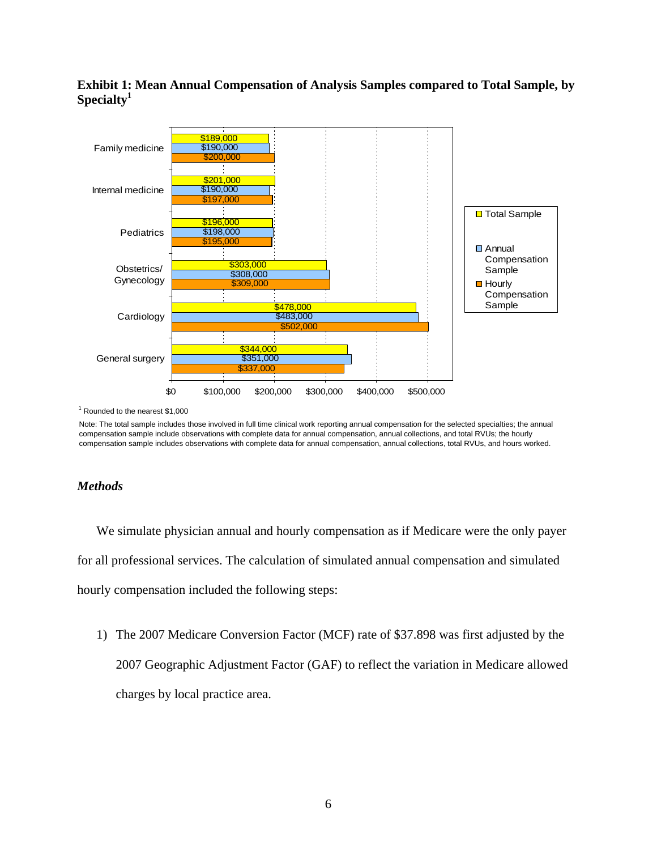#### **Exhibit 1: Mean Annual Compensation of Analysis Samples compared to Total Sample, by Specialty1**



1 Rounded to the nearest \$1,000

Note: The total sample includes those involved in full time clinical work reporting annual compensation for the selected specialties; the annual compensation sample include observations with complete data for annual compensation, annual collections, and total RVUs; the hourly compensation sample includes observations with complete data for annual compensation, annual collections, total RVUs, and hours worked.

#### *Methods*

We simulate physician annual and hourly compensation as if Medicare were the only payer for all professional services. The calculation of simulated annual compensation and simulated hourly compensation included the following steps:

1) The 2007 Medicare Conversion Factor (MCF) rate of \$37.898 was first adjusted by the 2007 Geographic Adjustment Factor (GAF) to reflect the variation in Medicare allowed charges by local practice area.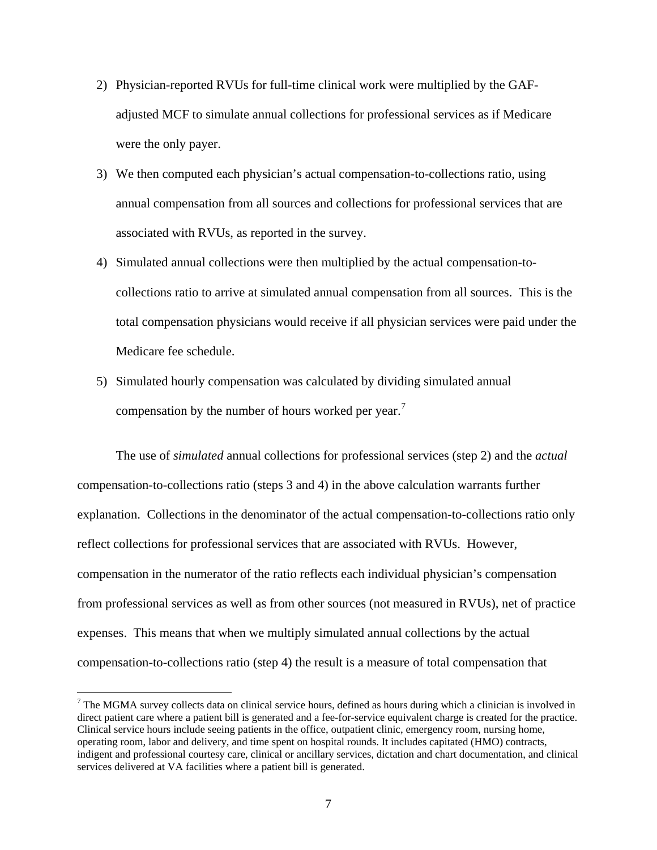- 2) Physician-reported RVUs for full-time clinical work were multiplied by the GAFadjusted MCF to simulate annual collections for professional services as if Medicare were the only payer.
- 3) We then computed each physician's actual compensation-to-collections ratio, using annual compensation from all sources and collections for professional services that are associated with RVUs, as reported in the survey.
- 4) Simulated annual collections were then multiplied by the actual compensation-tocollections ratio to arrive at simulated annual compensation from all sources. This is the total compensation physicians would receive if all physician services were paid under the Medicare fee schedule.
- 5) Simulated hourly compensation was calculated by dividing simulated annual compensation by the number of hours worked per year.<sup>[7](#page-8-0)</sup>

The use of *simulated* annual collections for professional services (step 2) and the *actual* compensation-to-collections ratio (steps 3 and 4) in the above calculation warrants further explanation. Collections in the denominator of the actual compensation-to-collections ratio only reflect collections for professional services that are associated with RVUs. However, compensation in the numerator of the ratio reflects each individual physician's compensation from professional services as well as from other sources (not measured in RVUs), net of practice expenses. This means that when we multiply simulated annual collections by the actual compensation-to-collections ratio (step 4) the result is a measure of total compensation that

 $\overline{a}$ 

<span id="page-8-0"></span> $<sup>7</sup>$  The MGMA survey collects data on clinical service hours, defined as hours during which a clinician is involved in</sup> direct patient care where a patient bill is generated and a fee-for-service equivalent charge is created for the practice. Clinical service hours include seeing patients in the office, outpatient clinic, emergency room, nursing home, operating room, labor and delivery, and time spent on hospital rounds. It includes capitated (HMO) contracts, indigent and professional courtesy care, clinical or ancillary services, dictation and chart documentation, and clinical services delivered at VA facilities where a patient bill is generated.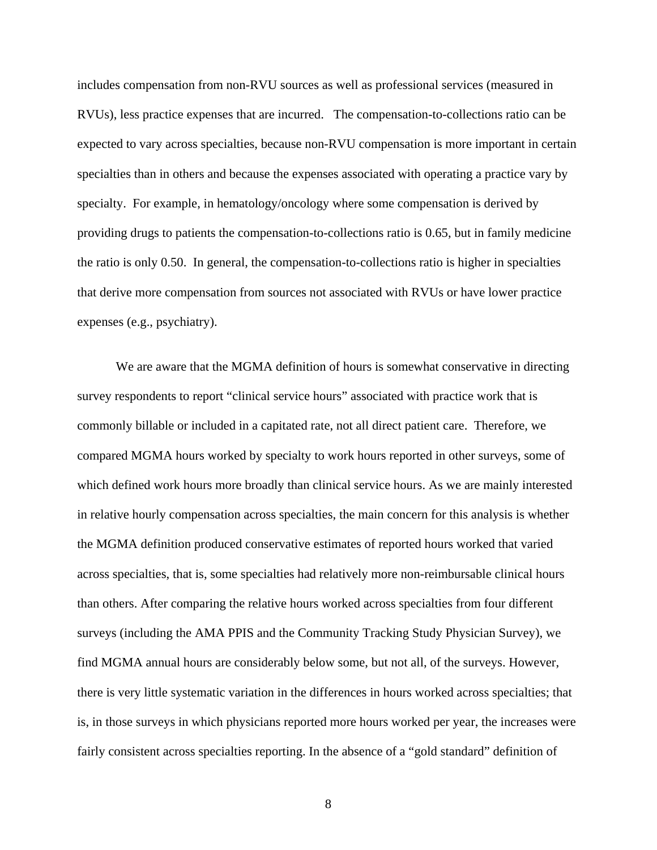includes compensation from non-RVU sources as well as professional services (measured in RVUs), less practice expenses that are incurred. The compensation-to-collections ratio can be expected to vary across specialties, because non-RVU compensation is more important in certain specialties than in others and because the expenses associated with operating a practice vary by specialty. For example, in hematology/oncology where some compensation is derived by providing drugs to patients the compensation-to-collections ratio is 0.65, but in family medicine the ratio is only 0.50. In general, the compensation-to-collections ratio is higher in specialties that derive more compensation from sources not associated with RVUs or have lower practice expenses (e.g., psychiatry).

 We are aware that the MGMA definition of hours is somewhat conservative in directing survey respondents to report "clinical service hours" associated with practice work that is commonly billable or included in a capitated rate, not all direct patient care. Therefore, we compared MGMA hours worked by specialty to work hours reported in other surveys, some of which defined work hours more broadly than clinical service hours. As we are mainly interested in relative hourly compensation across specialties, the main concern for this analysis is whether the MGMA definition produced conservative estimates of reported hours worked that varied across specialties, that is, some specialties had relatively more non-reimbursable clinical hours than others. After comparing the relative hours worked across specialties from four different surveys (including the AMA PPIS and the Community Tracking Study Physician Survey), we find MGMA annual hours are considerably below some, but not all, of the surveys. However, there is very little systematic variation in the differences in hours worked across specialties; that is, in those surveys in which physicians reported more hours worked per year, the increases were fairly consistent across specialties reporting. In the absence of a "gold standard" definition of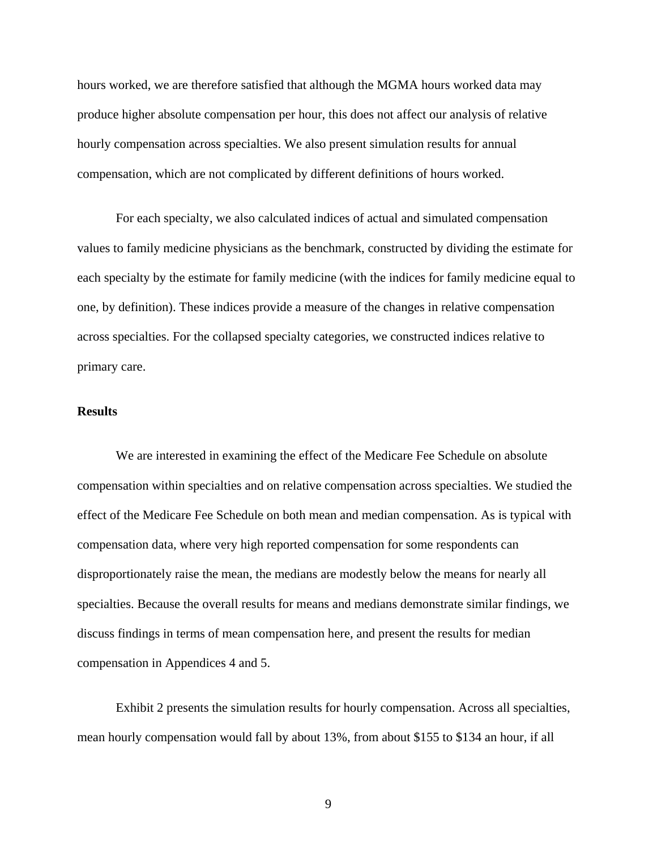hours worked, we are therefore satisfied that although the MGMA hours worked data may produce higher absolute compensation per hour, this does not affect our analysis of relative hourly compensation across specialties. We also present simulation results for annual compensation, which are not complicated by different definitions of hours worked.

For each specialty, we also calculated indices of actual and simulated compensation values to family medicine physicians as the benchmark, constructed by dividing the estimate for each specialty by the estimate for family medicine (with the indices for family medicine equal to one, by definition). These indices provide a measure of the changes in relative compensation across specialties. For the collapsed specialty categories, we constructed indices relative to primary care.

#### **Results**

We are interested in examining the effect of the Medicare Fee Schedule on absolute compensation within specialties and on relative compensation across specialties. We studied the effect of the Medicare Fee Schedule on both mean and median compensation. As is typical with compensation data, where very high reported compensation for some respondents can disproportionately raise the mean, the medians are modestly below the means for nearly all specialties. Because the overall results for means and medians demonstrate similar findings, we discuss findings in terms of mean compensation here, and present the results for median compensation in Appendices 4 and 5.

Exhibit 2 presents the simulation results for hourly compensation. Across all specialties, mean hourly compensation would fall by about 13%, from about \$155 to \$134 an hour, if all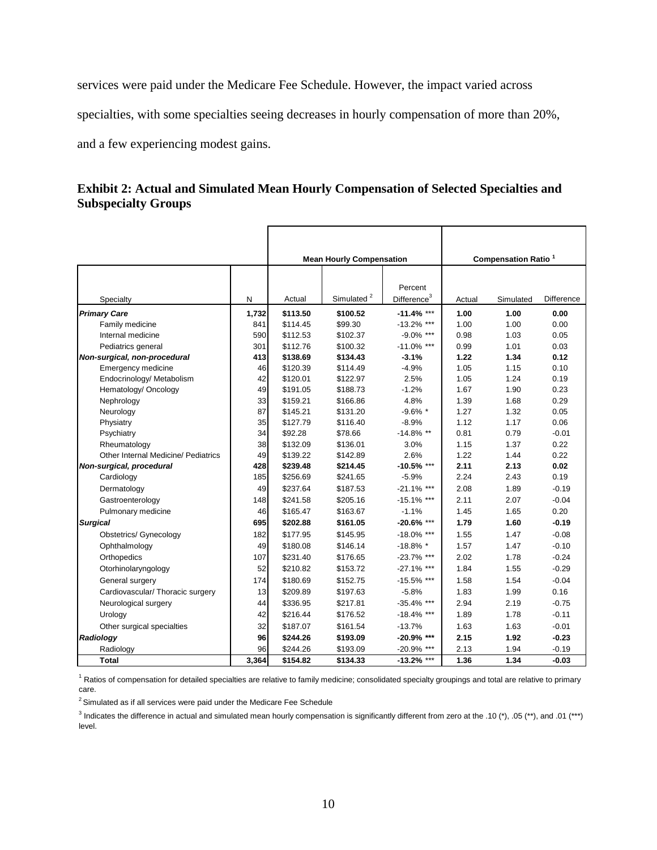services were paid under the Medicare Fee Schedule. However, the impact varied across

specialties, with some specialties seeing decreases in hourly compensation of more than 20%,

and a few experiencing modest gains.

#### **Exhibit 2: Actual and Simulated Mean Hourly Compensation of Selected Specialties and Subspecialty Groups**

|                                     |       |          | <b>Mean Hourly Compensation</b> |                         | <b>Compensation Ratio<sup>1</sup></b> |           |            |  |
|-------------------------------------|-------|----------|---------------------------------|-------------------------|---------------------------------------|-----------|------------|--|
|                                     |       |          |                                 |                         |                                       |           |            |  |
|                                     |       |          |                                 | Percent                 |                                       |           |            |  |
| Specialty                           | N     | Actual   | Simulated <sup>2</sup>          | Difference <sup>3</sup> | Actual                                | Simulated | Difference |  |
| <b>Primary Care</b>                 | 1,732 | \$113.50 | \$100.52                        | $-11.4%$ ***            | 1.00                                  | 1.00      | 0.00       |  |
| Family medicine                     | 841   | \$114.45 | \$99.30                         | $-13.2\%$ ***           | 1.00                                  | 1.00      | 0.00       |  |
| Internal medicine                   | 590   | \$112.53 | \$102.37                        | $-9.0\%$ ***            | 0.98                                  | 1.03      | 0.05       |  |
| Pediatrics general                  | 301   | \$112.76 | \$100.32                        | $-11.0\%$ ***           | 0.99                                  | 1.01      | 0.03       |  |
| Non-surgical, non-procedural        | 413   | \$138.69 | \$134.43                        | $-3.1%$                 | 1.22                                  | 1.34      | 0.12       |  |
| Emergency medicine                  | 46    | \$120.39 | \$114.49                        | $-4.9%$                 | 1.05                                  | 1.15      | 0.10       |  |
| Endocrinology/ Metabolism           | 42    | \$120.01 | \$122.97                        | 2.5%                    | 1.05                                  | 1.24      | 0.19       |  |
| Hematology/ Oncology                | 49    | \$191.05 | \$188.73                        | $-1.2%$                 | 1.67                                  | 1.90      | 0.23       |  |
| Nephrology                          | 33    | \$159.21 | \$166.86                        | 4.8%                    | 1.39                                  | 1.68      | 0.29       |  |
| Neurology                           | 87    | \$145.21 | \$131.20                        | $-9.6\%$ *              | 1.27                                  | 1.32      | 0.05       |  |
| Physiatry                           | 35    | \$127.79 | \$116.40                        | $-8.9%$                 | 1.12                                  | 1.17      | 0.06       |  |
| Psychiatry                          | 34    | \$92.28  | \$78.66                         | $-14.8\%$ **            | 0.81                                  | 0.79      | $-0.01$    |  |
| Rheumatology                        | 38    | \$132.09 | \$136.01                        | 3.0%                    | 1.15                                  | 1.37      | 0.22       |  |
| Other Internal Medicine/ Pediatrics | 49    | \$139.22 | \$142.89                        | 2.6%                    | 1.22                                  | 1.44      | 0.22       |  |
| Non-surgical, procedural            | 428   | \$239.48 | \$214.45                        | $-10.5%$ ***            | 2.11                                  | 2.13      | 0.02       |  |
| Cardiology                          | 185   | \$256.69 | \$241.65                        | $-5.9%$                 | 2.24                                  | 2.43      | 0.19       |  |
| Dermatology                         | 49    | \$237.64 | \$187.53                        | $-21.1\%$ ***           | 2.08                                  | 1.89      | $-0.19$    |  |
| Gastroenterology                    | 148   | \$241.58 | \$205.16                        | $-15.1\%$ ***           | 2.11                                  | 2.07      | $-0.04$    |  |
| Pulmonary medicine                  | 46    | \$165.47 | \$163.67                        | $-1.1%$                 | 1.45                                  | 1.65      | 0.20       |  |
| <b>Surgical</b>                     | 695   | \$202.88 | \$161.05                        | $-20.6\%$ ***           | 1.79                                  | 1.60      | $-0.19$    |  |
| <b>Obstetrics/ Gynecology</b>       | 182   | \$177.95 | \$145.95                        | $-18.0\%$ ***           | 1.55                                  | 1.47      | $-0.08$    |  |
| Ophthalmology                       | 49    | \$180.08 | \$146.14                        | $-18.8\%$ *             | 1.57                                  | 1.47      | $-0.10$    |  |
| Orthopedics                         | 107   | \$231.40 | \$176.65                        | $-23.7\%$ ***           | 2.02                                  | 1.78      | $-0.24$    |  |
| Otorhinolaryngology                 | 52    | \$210.82 | \$153.72                        | $-27.1\%$ ***           | 1.84                                  | 1.55      | $-0.29$    |  |
| General surgery                     | 174   | \$180.69 | \$152.75                        | $-15.5%$ ***            | 1.58                                  | 1.54      | $-0.04$    |  |
| Cardiovascular/ Thoracic surgery    | 13    | \$209.89 | \$197.63                        | $-5.8%$                 | 1.83                                  | 1.99      | 0.16       |  |
| Neurological surgery                | 44    | \$336.95 | \$217.81                        | $-35.4\%$ ***           | 2.94                                  | 2.19      | $-0.75$    |  |
| Urology                             | 42    | \$216.44 | \$176.52                        | $-18.4\%$ ***           | 1.89                                  | 1.78      | $-0.11$    |  |
| Other surgical specialties          | 32    | \$187.07 | \$161.54                        | $-13.7%$                | 1.63                                  | 1.63      | $-0.01$    |  |
| Radiology                           | 96    | \$244.26 | \$193.09                        | $-20.9\%$ ***           | 2.15                                  | 1.92      | $-0.23$    |  |
| Radiology                           | 96    | \$244.26 | \$193.09                        | $-20.9\%$ ***           | 2.13                                  | 1.94      | $-0.19$    |  |
|                                     |       |          |                                 |                         |                                       |           |            |  |
| <b>Total</b>                        | 3,364 | \$154.82 | \$134.33                        | $-13.2%$ ***            | 1.36                                  | 1.34      | $-0.03$    |  |

<sup>1</sup> Ratios of compensation for detailed specialties are relative to family medicine; consolidated specialty groupings and total are relative to primary care.

 $2$  Simulated as if all services were paid under the Medicare Fee Schedule

<sup>3</sup> Indicates the difference in actual and simulated mean hourly compensation is significantly different from zero at the .10 (\*), .05 (\*\*), and .01 (\*\*\*) level.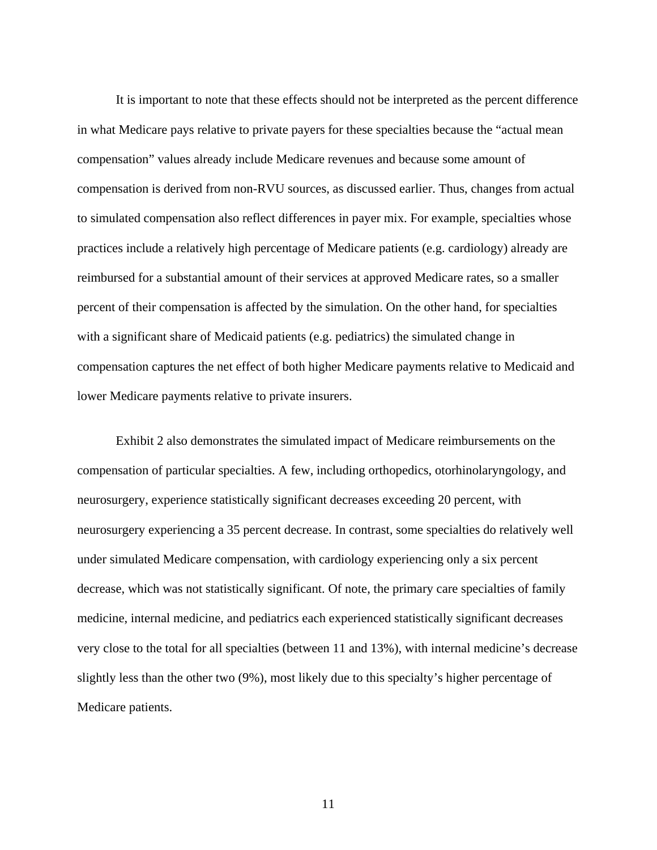It is important to note that these effects should not be interpreted as the percent difference in what Medicare pays relative to private payers for these specialties because the "actual mean compensation" values already include Medicare revenues and because some amount of compensation is derived from non-RVU sources, as discussed earlier. Thus, changes from actual to simulated compensation also reflect differences in payer mix. For example, specialties whose practices include a relatively high percentage of Medicare patients (e.g. cardiology) already are reimbursed for a substantial amount of their services at approved Medicare rates, so a smaller percent of their compensation is affected by the simulation. On the other hand, for specialties with a significant share of Medicaid patients (e.g. pediatrics) the simulated change in compensation captures the net effect of both higher Medicare payments relative to Medicaid and lower Medicare payments relative to private insurers.

Exhibit 2 also demonstrates the simulated impact of Medicare reimbursements on the compensation of particular specialties. A few, including orthopedics, otorhinolaryngology, and neurosurgery, experience statistically significant decreases exceeding 20 percent, with neurosurgery experiencing a 35 percent decrease. In contrast, some specialties do relatively well under simulated Medicare compensation, with cardiology experiencing only a six percent decrease, which was not statistically significant. Of note, the primary care specialties of family medicine, internal medicine, and pediatrics each experienced statistically significant decreases very close to the total for all specialties (between 11 and 13%), with internal medicine's decrease slightly less than the other two (9%), most likely due to this specialty's higher percentage of Medicare patients.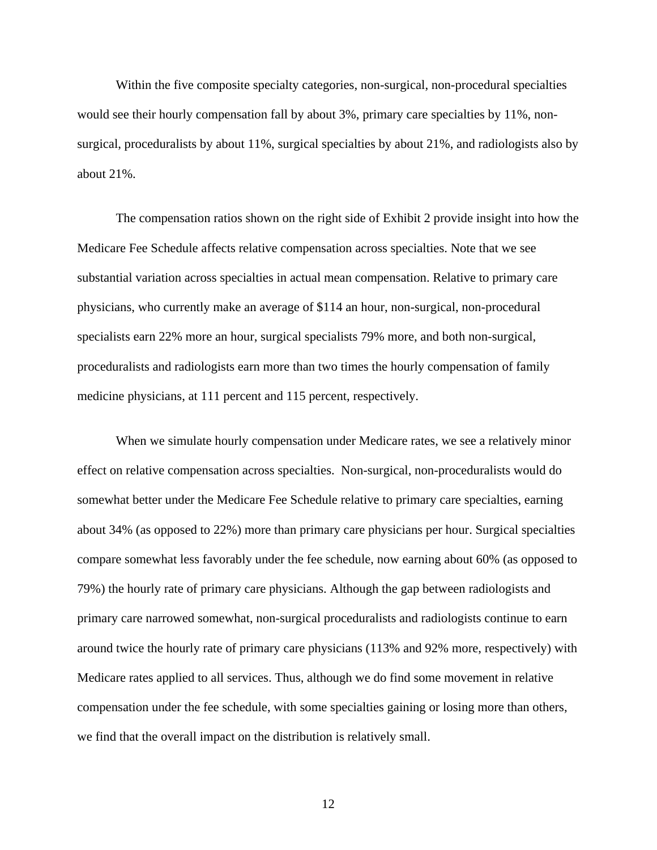Within the five composite specialty categories, non-surgical, non-procedural specialties would see their hourly compensation fall by about 3%, primary care specialties by 11%, nonsurgical, proceduralists by about 11%, surgical specialties by about 21%, and radiologists also by about 21%.

The compensation ratios shown on the right side of Exhibit 2 provide insight into how the Medicare Fee Schedule affects relative compensation across specialties. Note that we see substantial variation across specialties in actual mean compensation. Relative to primary care physicians, who currently make an average of \$114 an hour, non-surgical, non-procedural specialists earn 22% more an hour, surgical specialists 79% more, and both non-surgical, proceduralists and radiologists earn more than two times the hourly compensation of family medicine physicians, at 111 percent and 115 percent, respectively.

When we simulate hourly compensation under Medicare rates, we see a relatively minor effect on relative compensation across specialties. Non-surgical, non-proceduralists would do somewhat better under the Medicare Fee Schedule relative to primary care specialties, earning about 34% (as opposed to 22%) more than primary care physicians per hour. Surgical specialties compare somewhat less favorably under the fee schedule, now earning about 60% (as opposed to 79%) the hourly rate of primary care physicians. Although the gap between radiologists and primary care narrowed somewhat, non-surgical proceduralists and radiologists continue to earn around twice the hourly rate of primary care physicians (113% and 92% more, respectively) with Medicare rates applied to all services. Thus, although we do find some movement in relative compensation under the fee schedule, with some specialties gaining or losing more than others, we find that the overall impact on the distribution is relatively small.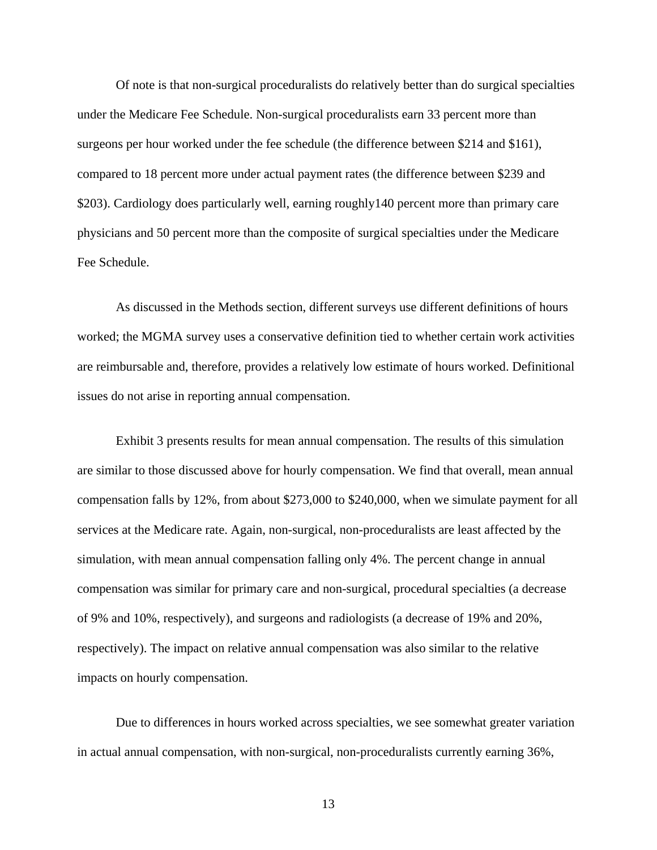Of note is that non-surgical proceduralists do relatively better than do surgical specialties under the Medicare Fee Schedule. Non-surgical proceduralists earn 33 percent more than surgeons per hour worked under the fee schedule (the difference between \$214 and \$161), compared to 18 percent more under actual payment rates (the difference between \$239 and \$203). Cardiology does particularly well, earning roughly140 percent more than primary care physicians and 50 percent more than the composite of surgical specialties under the Medicare Fee Schedule.

As discussed in the Methods section, different surveys use different definitions of hours worked; the MGMA survey uses a conservative definition tied to whether certain work activities are reimbursable and, therefore, provides a relatively low estimate of hours worked. Definitional issues do not arise in reporting annual compensation.

Exhibit 3 presents results for mean annual compensation. The results of this simulation are similar to those discussed above for hourly compensation. We find that overall, mean annual compensation falls by 12%, from about \$273,000 to \$240,000, when we simulate payment for all services at the Medicare rate. Again, non-surgical, non-proceduralists are least affected by the simulation, with mean annual compensation falling only 4%. The percent change in annual compensation was similar for primary care and non-surgical, procedural specialties (a decrease of 9% and 10%, respectively), and surgeons and radiologists (a decrease of 19% and 20%, respectively). The impact on relative annual compensation was also similar to the relative impacts on hourly compensation.

Due to differences in hours worked across specialties, we see somewhat greater variation in actual annual compensation, with non-surgical, non-proceduralists currently earning 36%,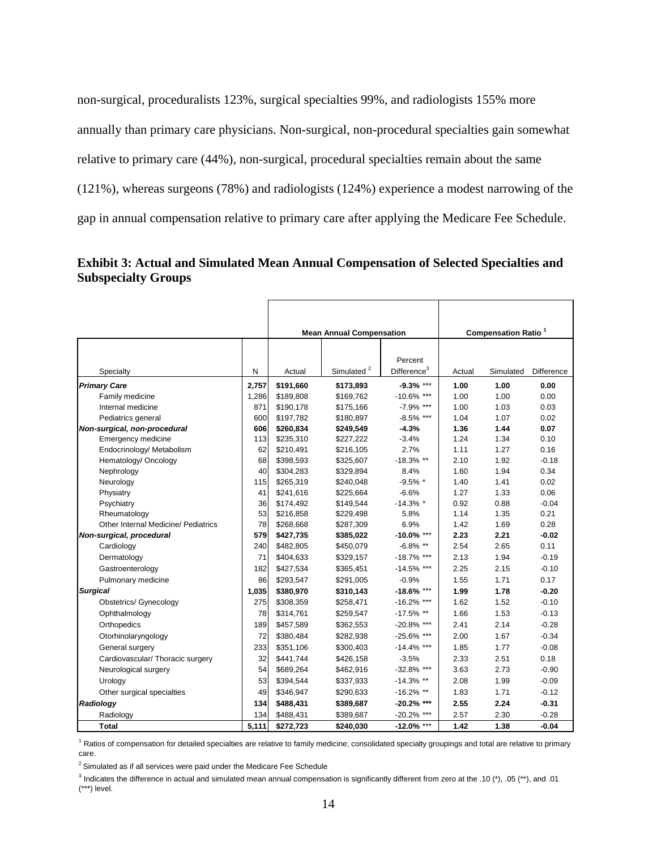non-surgical, proceduralists 123%, surgical specialties 99%, and radiologists 155% more annually than primary care physicians. Non-surgical, non-procedural specialties gain somewhat relative to primary care (44%), non-surgical, procedural specialties remain about the same (121%), whereas surgeons (78%) and radiologists (124%) experience a modest narrowing of the gap in annual compensation relative to primary care after applying the Medicare Fee Schedule.

#### **Exhibit 3: Actual and Simulated Mean Annual Compensation of Selected Specialties and Subspecialty Groups**

|                                     |       |           | <b>Mean Annual Compensation</b> |                                    |        | <b>Compensation Ratio<sup>1</sup></b> |            |
|-------------------------------------|-------|-----------|---------------------------------|------------------------------------|--------|---------------------------------------|------------|
| Specialty                           | N     | Actual    | Simulated <sup>2</sup>          | Percent<br>Difference <sup>3</sup> | Actual | Simulated                             | Difference |
| <b>Primary Care</b>                 | 2,757 | \$191,660 | \$173,893                       | $-9.3\%$ ***                       | 1.00   | 1.00                                  | 0.00       |
| Family medicine                     | 1,286 | \$189,808 | \$169,762                       | $-10.6\%$ ***                      | 1.00   | 1.00                                  | 0.00       |
| Internal medicine                   | 871   | \$190,178 | \$175,166                       | $-7.9\%$ ***                       | 1.00   | 1.03                                  | 0.03       |
| Pediatrics general                  | 600   | \$197,782 | \$180,897                       | $-8.5\%$ ***                       | 1.04   | 1.07                                  | 0.02       |
| Non-surgical, non-procedural        | 606   | \$260,834 | \$249,549                       | $-4.3%$                            | 1.36   | 1.44                                  | 0.07       |
| <b>Emergency medicine</b>           | 113   | \$235,310 | \$227,222                       | $-3.4%$                            | 1.24   | 1.34                                  | 0.10       |
| Endocrinology/ Metabolism           | 62    | \$210,491 | \$216,105                       | 2.7%                               | 1.11   | 1.27                                  | 0.16       |
| Hematology/ Oncology                | 68    | \$398,593 | \$325,607                       | $-18.3%$ **                        | 2.10   | 1.92                                  | $-0.18$    |
| Nephrology                          | 40    | \$304,283 | \$329,894                       | 8.4%                               | 1.60   | 1.94                                  | 0.34       |
| Neurology                           | 115   | \$265,319 | \$240,048                       | $-9.5\%$ *                         | 1.40   | 1.41                                  | 0.02       |
| Physiatry                           | 41    | \$241,616 | \$225,664                       | $-6.6%$                            | 1.27   | 1.33                                  | 0.06       |
| Psychiatry                          | 36    | \$174,492 | \$149,544                       | $-14.3%$ *                         | 0.92   | 0.88                                  | $-0.04$    |
| Rheumatology                        | 53    | \$216,858 | \$229,498                       | 5.8%                               | 1.14   | 1.35                                  | 0.21       |
| Other Internal Medicine/ Pediatrics | 78    | \$268,668 | \$287,309                       | 6.9%                               | 1.42   | 1.69                                  | 0.28       |
| Non-surgical, procedural            | 579   | \$427,735 | \$385,022                       | $-10.0\%$ ***                      | 2.23   | 2.21                                  | $-0.02$    |
| Cardiology                          | 240   | \$482,805 | \$450,079                       | $-6.8\%$ **                        | 2.54   | 2.65                                  | 0.11       |
| Dermatology                         | 71    | \$404,633 | \$329,157                       | $-18.7\%$ ***                      | 2.13   | 1.94                                  | $-0.19$    |
| Gastroenterology                    | 182   | \$427,534 | \$365,451                       | $-14.5%$ ***                       | 2.25   | 2.15                                  | $-0.10$    |
| Pulmonary medicine                  | 86    | \$293,547 | \$291,005                       | $-0.9%$                            | 1.55   | 1.71                                  | 0.17       |
| <b>Surgical</b>                     | 1,035 | \$380,970 | \$310,143                       | $-18.6\%$ ***                      | 1.99   | 1.78                                  | $-0.20$    |
| <b>Obstetrics/ Gynecology</b>       | 275   | \$308,359 | \$258,471                       | $-16.2%$ ***                       | 1.62   | 1.52                                  | $-0.10$    |
| Ophthalmology                       | 78    | \$314,761 | \$259,547                       | $-17.5\%$ **                       | 1.66   | 1.53                                  | $-0.13$    |
| Orthopedics                         | 189   | \$457,589 | \$362,553                       | $-20.8\%$ ***                      | 2.41   | 2.14                                  | $-0.28$    |
| Otorhinolaryngology                 | 72    | \$380,484 | \$282,938                       | $-25.6\%$ ***                      | 2.00   | 1.67                                  | $-0.34$    |
| General surgery                     | 233   | \$351,106 | \$300,403                       | $-14.4\%$ ***                      | 1.85   | 1.77                                  | $-0.08$    |
| Cardiovascular/ Thoracic surgery    | 32    | \$441,744 | \$426,158                       | $-3.5%$                            | 2.33   | 2.51                                  | 0.18       |
| Neurological surgery                | 54    | \$689,264 | \$462,916                       | $-32.8\%$ ***                      | 3.63   | 2.73                                  | $-0.90$    |
| Urology                             | 53    | \$394,544 | \$337,933                       | $-14.3%$ **                        | 2.08   | 1.99                                  | $-0.09$    |
| Other surgical specialties          | 49    | \$346,947 | \$290,633                       | $-16.2\%$ **                       | 1.83   | 1.71                                  | $-0.12$    |
| Radiology                           | 134   | \$488,431 | \$389,687                       | $-20.2\%$ ***                      | 2.55   | 2.24                                  | $-0.31$    |
| Radiology                           | 134   | \$488,431 | \$389,687                       | $-20.2\%$ ***                      | 2.57   | 2.30                                  | $-0.28$    |
| Total                               | 5.111 | \$272,723 | \$240,030                       | $-12.0\%$ ***                      | 1.42   | 1.38                                  | $-0.04$    |

<sup>1</sup> Ratios of compensation for detailed specialties are relative to family medicine; consolidated specialty groupings and total are relative to primary care.

 $2$  Simulated as if all services were paid under the Medicare Fee Schedule

<sup>&</sup>lt;sup>3</sup> Indicates the difference in actual and simulated mean annual compensation is significantly different from zero at the .10 (\*), .05 (\*\*), and .01 (\*\*\*) level.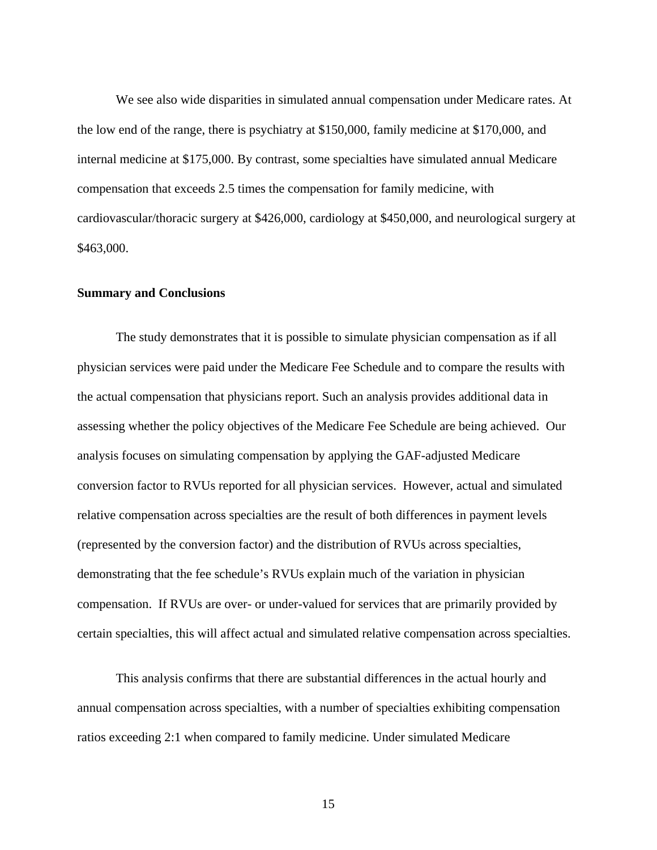We see also wide disparities in simulated annual compensation under Medicare rates. At the low end of the range, there is psychiatry at \$150,000, family medicine at \$170,000, and internal medicine at \$175,000. By contrast, some specialties have simulated annual Medicare compensation that exceeds 2.5 times the compensation for family medicine, with cardiovascular/thoracic surgery at \$426,000, cardiology at \$450,000, and neurological surgery at \$463,000.

#### **Summary and Conclusions**

The study demonstrates that it is possible to simulate physician compensation as if all physician services were paid under the Medicare Fee Schedule and to compare the results with the actual compensation that physicians report. Such an analysis provides additional data in assessing whether the policy objectives of the Medicare Fee Schedule are being achieved. Our analysis focuses on simulating compensation by applying the GAF-adjusted Medicare conversion factor to RVUs reported for all physician services. However, actual and simulated relative compensation across specialties are the result of both differences in payment levels (represented by the conversion factor) and the distribution of RVUs across specialties, demonstrating that the fee schedule's RVUs explain much of the variation in physician compensation. If RVUs are over- or under-valued for services that are primarily provided by certain specialties, this will affect actual and simulated relative compensation across specialties.

This analysis confirms that there are substantial differences in the actual hourly and annual compensation across specialties, with a number of specialties exhibiting compensation ratios exceeding 2:1 when compared to family medicine. Under simulated Medicare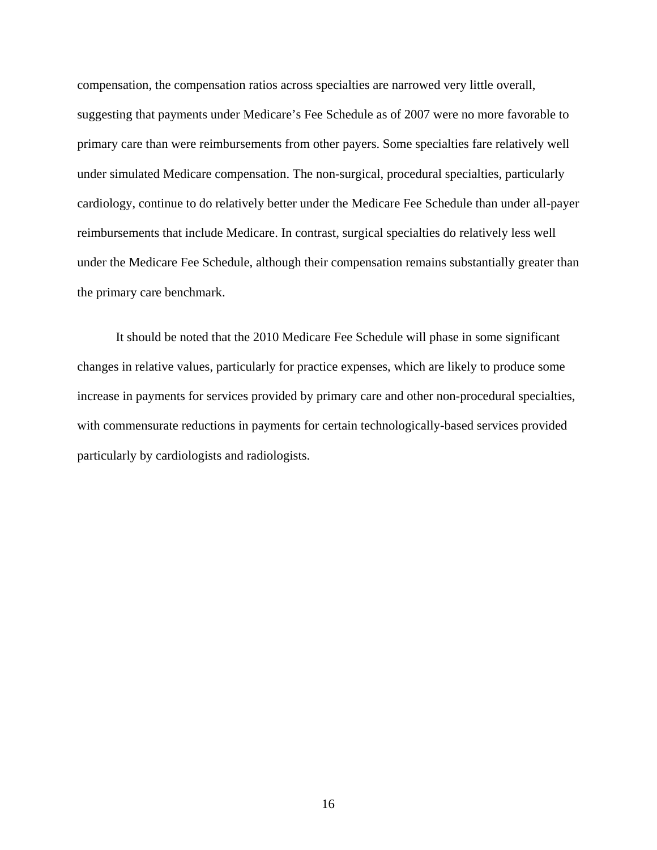compensation, the compensation ratios across specialties are narrowed very little overall, suggesting that payments under Medicare's Fee Schedule as of 2007 were no more favorable to primary care than were reimbursements from other payers. Some specialties fare relatively well under simulated Medicare compensation. The non-surgical, procedural specialties, particularly cardiology, continue to do relatively better under the Medicare Fee Schedule than under all-payer reimbursements that include Medicare. In contrast, surgical specialties do relatively less well under the Medicare Fee Schedule, although their compensation remains substantially greater than the primary care benchmark.

It should be noted that the 2010 Medicare Fee Schedule will phase in some significant changes in relative values, particularly for practice expenses, which are likely to produce some increase in payments for services provided by primary care and other non-procedural specialties, with commensurate reductions in payments for certain technologically-based services provided particularly by cardiologists and radiologists.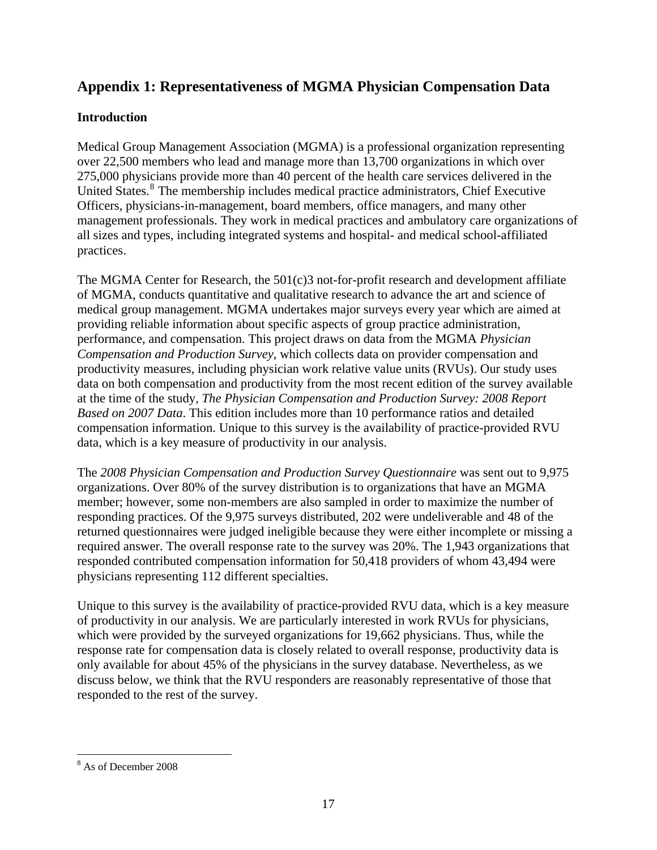### <span id="page-18-0"></span>**Appendix 1: Representativeness of MGMA Physician Compensation Data**

#### **Introduction**

Medical Group Management Association (MGMA) is a professional organization representing over 22,500 members who lead and manage more than 13,700 organizations in which over 275,000 physicians provide more than 40 percent of the health care services delivered in the United States.<sup>[8](#page-18-0)</sup> The membership includes medical practice administrators, Chief Executive Officers, physicians-in-management, board members, office managers, and many other management professionals. They work in medical practices and ambulatory care organizations of all sizes and types, including integrated systems and hospital- and medical school-affiliated practices.

The MGMA Center for Research, the 501(c)3 not-for-profit research and development affiliate of MGMA, conducts quantitative and qualitative research to advance the art and science of medical group management. MGMA undertakes major surveys every year which are aimed at providing reliable information about specific aspects of group practice administration, performance, and compensation. This project draws on data from the MGMA *Physician Compensation and Production Survey*, which collects data on provider compensation and productivity measures, including physician work relative value units (RVUs). Our study uses data on both compensation and productivity from the most recent edition of the survey available at the time of the study, *The Physician Compensation and Production Survey: 2008 Report Based on 2007 Data*. This edition includes more than 10 performance ratios and detailed compensation information. Unique to this survey is the availability of practice-provided RVU data, which is a key measure of productivity in our analysis.

The *2008 Physician Compensation and Production Survey Questionnaire* was sent out to 9,975 organizations. Over 80% of the survey distribution is to organizations that have an MGMA member; however, some non-members are also sampled in order to maximize the number of responding practices. Of the 9,975 surveys distributed, 202 were undeliverable and 48 of the returned questionnaires were judged ineligible because they were either incomplete or missing a required answer. The overall response rate to the survey was 20%. The 1,943 organizations that responded contributed compensation information for 50,418 providers of whom 43,494 were physicians representing 112 different specialties.

Unique to this survey is the availability of practice-provided RVU data, which is a key measure of productivity in our analysis. We are particularly interested in work RVUs for physicians, which were provided by the surveyed organizations for 19,662 physicians. Thus, while the response rate for compensation data is closely related to overall response, productivity data is only available for about 45% of the physicians in the survey database. Nevertheless, as we discuss below, we think that the RVU responders are reasonably representative of those that responded to the rest of the survey.

 $\overline{a}$ 8 As of December 2008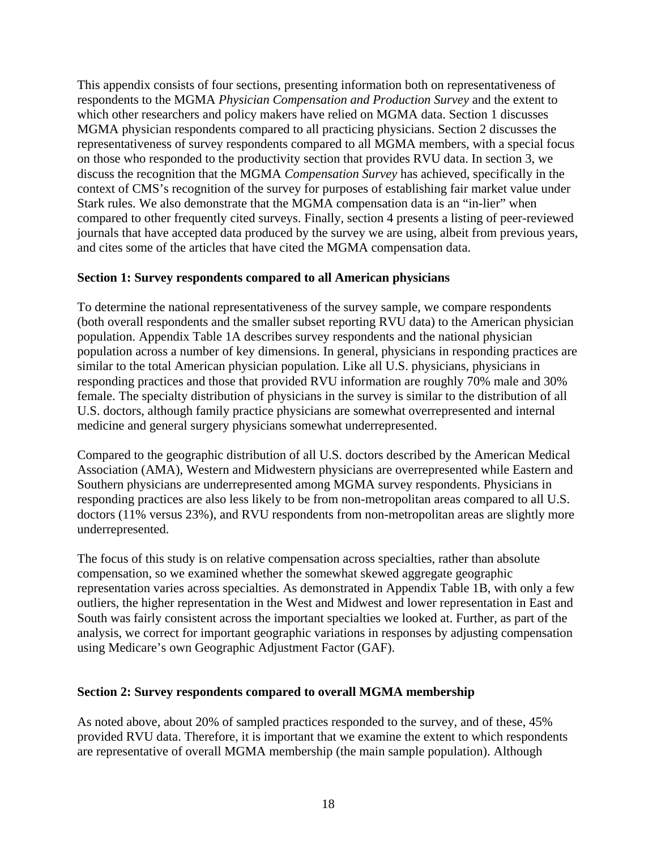This appendix consists of four sections, presenting information both on representativeness of respondents to the MGMA *Physician Compensation and Production Survey* and the extent to which other researchers and policy makers have relied on MGMA data. Section 1 discusses MGMA physician respondents compared to all practicing physicians. Section 2 discusses the representativeness of survey respondents compared to all MGMA members, with a special focus on those who responded to the productivity section that provides RVU data. In section 3, we discuss the recognition that the MGMA *Compensation Survey* has achieved, specifically in the context of CMS's recognition of the survey for purposes of establishing fair market value under Stark rules. We also demonstrate that the MGMA compensation data is an "in-lier" when compared to other frequently cited surveys. Finally, section 4 presents a listing of peer-reviewed journals that have accepted data produced by the survey we are using, albeit from previous years, and cites some of the articles that have cited the MGMA compensation data.

#### **Section 1: Survey respondents compared to all American physicians**

To determine the national representativeness of the survey sample, we compare respondents (both overall respondents and the smaller subset reporting RVU data) to the American physician population. Appendix Table 1A describes survey respondents and the national physician population across a number of key dimensions. In general, physicians in responding practices are similar to the total American physician population. Like all U.S. physicians, physicians in responding practices and those that provided RVU information are roughly 70% male and 30% female. The specialty distribution of physicians in the survey is similar to the distribution of all U.S. doctors, although family practice physicians are somewhat overrepresented and internal medicine and general surgery physicians somewhat underrepresented.

Compared to the geographic distribution of all U.S. doctors described by the American Medical Association (AMA), Western and Midwestern physicians are overrepresented while Eastern and Southern physicians are underrepresented among MGMA survey respondents. Physicians in responding practices are also less likely to be from non-metropolitan areas compared to all U.S. doctors (11% versus 23%), and RVU respondents from non-metropolitan areas are slightly more underrepresented.

The focus of this study is on relative compensation across specialties, rather than absolute compensation, so we examined whether the somewhat skewed aggregate geographic representation varies across specialties. As demonstrated in Appendix Table 1B, with only a few outliers, the higher representation in the West and Midwest and lower representation in East and South was fairly consistent across the important specialties we looked at. Further, as part of the analysis, we correct for important geographic variations in responses by adjusting compensation using Medicare's own Geographic Adjustment Factor (GAF).

#### **Section 2: Survey respondents compared to overall MGMA membership**

As noted above, about 20% of sampled practices responded to the survey, and of these, 45% provided RVU data. Therefore, it is important that we examine the extent to which respondents are representative of overall MGMA membership (the main sample population). Although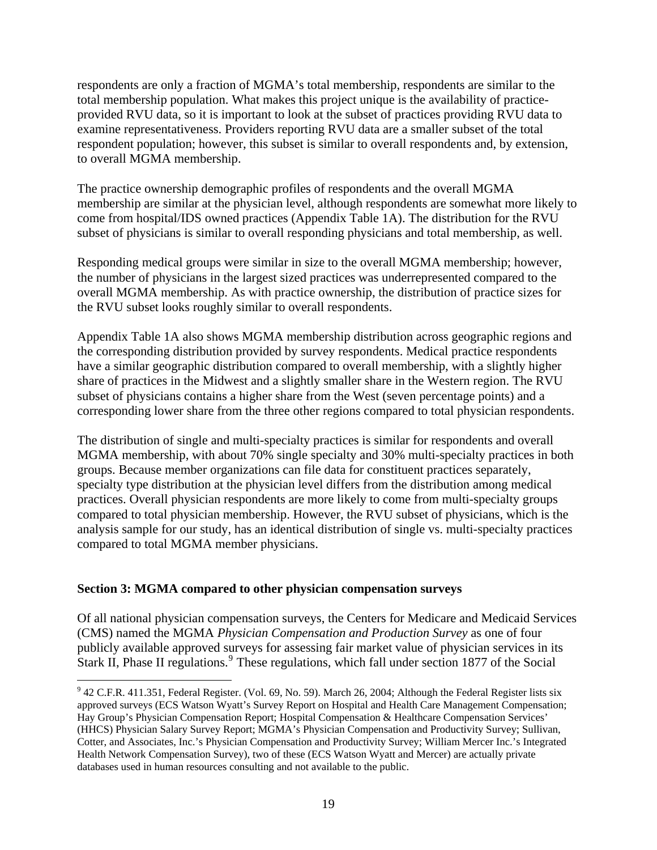<span id="page-20-0"></span>respondents are only a fraction of MGMA's total membership, respondents are similar to the total membership population. What makes this project unique is the availability of practiceprovided RVU data, so it is important to look at the subset of practices providing RVU data to examine representativeness. Providers reporting RVU data are a smaller subset of the total respondent population; however, this subset is similar to overall respondents and, by extension, to overall MGMA membership.

The practice ownership demographic profiles of respondents and the overall MGMA membership are similar at the physician level, although respondents are somewhat more likely to come from hospital/IDS owned practices (Appendix Table 1A). The distribution for the RVU subset of physicians is similar to overall responding physicians and total membership, as well.

Responding medical groups were similar in size to the overall MGMA membership; however, the number of physicians in the largest sized practices was underrepresented compared to the overall MGMA membership. As with practice ownership, the distribution of practice sizes for the RVU subset looks roughly similar to overall respondents.

Appendix Table 1A also shows MGMA membership distribution across geographic regions and the corresponding distribution provided by survey respondents. Medical practice respondents have a similar geographic distribution compared to overall membership, with a slightly higher share of practices in the Midwest and a slightly smaller share in the Western region. The RVU subset of physicians contains a higher share from the West (seven percentage points) and a corresponding lower share from the three other regions compared to total physician respondents.

The distribution of single and multi-specialty practices is similar for respondents and overall MGMA membership, with about 70% single specialty and 30% multi-specialty practices in both groups. Because member organizations can file data for constituent practices separately, specialty type distribution at the physician level differs from the distribution among medical practices. Overall physician respondents are more likely to come from multi-specialty groups compared to total physician membership. However, the RVU subset of physicians, which is the analysis sample for our study, has an identical distribution of single vs. multi-specialty practices compared to total MGMA member physicians.

#### **Section 3: MGMA compared to other physician compensation surveys**

 $\overline{a}$ 

Of all national physician compensation surveys, the Centers for Medicare and Medicaid Services (CMS) named the MGMA *Physician Compensation and Production Survey* as one of four publicly available approved surveys for assessing fair market value of physician services in its Stark II, Phase II regulations.<sup>[9](#page-20-0)</sup> These regulations, which fall under section 1877 of the Social

 $9$  42 C.F.R. 411.351, Federal Register. (Vol. 69, No. 59). March 26, 2004; Although the Federal Register lists six approved surveys (ECS Watson Wyatt's Survey Report on Hospital and Health Care Management Compensation; Hay Group's Physician Compensation Report; Hospital Compensation & Healthcare Compensation Services' (HHCS) Physician Salary Survey Report; MGMA's Physician Compensation and Productivity Survey; Sullivan, Cotter, and Associates, Inc.'s Physician Compensation and Productivity Survey; William Mercer Inc.'s Integrated Health Network Compensation Survey), two of these (ECS Watson Wyatt and Mercer) are actually private databases used in human resources consulting and not available to the public.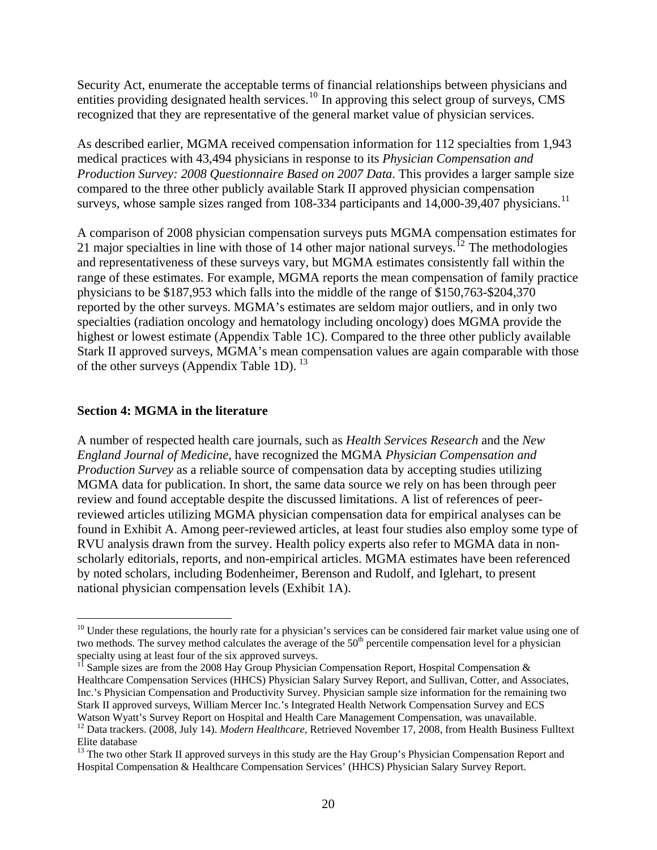<span id="page-21-0"></span>Security Act, enumerate the acceptable terms of financial relationships between physicians and entities providing designated health services.[10](#page-21-0) In approving this select group of surveys, CMS recognized that they are representative of the general market value of physician services.

As described earlier, MGMA received compensation information for 112 specialties from 1,943 medical practices with 43,494 physicians in response to its *Physician Compensation and Production Survey: 2008 Questionnaire Based on 2007 Data*. This provides a larger sample size compared to the three other publicly available Stark II approved physician compensation surveys, whose sample sizes ranged from 108-334 participants and 14,000-39,407 physicians.<sup>[11](#page-21-0)</sup>

A comparison of 2008 physician compensation surveys puts MGMA compensation estimates for 21 major specialties in line with those of 14 other major national surveys.<sup>[12](#page-21-0)</sup> The methodologies and representativeness of these surveys vary, but MGMA estimates consistently fall within the range of these estimates. For example, MGMA reports the mean compensation of family practice physicians to be \$187,953 which falls into the middle of the range of \$150,763-\$204,370 reported by the other surveys. MGMA's estimates are seldom major outliers, and in only two specialties (radiation oncology and hematology including oncology) does MGMA provide the highest or lowest estimate (Appendix Table 1C). Compared to the three other publicly available Stark II approved surveys, MGMA's mean compensation values are again comparable with those of the other surveys (Appendix Table 1D).  $^{13}$  $^{13}$  $^{13}$ 

#### **Section 4: MGMA in the literature**

1

A number of respected health care journals, such as *Health Services Research* and the *New England Journal of Medicine*, have recognized the MGMA *Physician Compensation and Production Survey* as a reliable source of compensation data by accepting studies utilizing MGMA data for publication. In short, the same data source we rely on has been through peer review and found acceptable despite the discussed limitations. A list of references of peerreviewed articles utilizing MGMA physician compensation data for empirical analyses can be found in Exhibit A. Among peer-reviewed articles, at least four studies also employ some type of RVU analysis drawn from the survey. Health policy experts also refer to MGMA data in nonscholarly editorials, reports, and non-empirical articles. MGMA estimates have been referenced by noted scholars, including Bodenheimer, Berenson and Rudolf, and Iglehart, to present national physician compensation levels (Exhibit 1A).

 $10$  Under these regulations, the hourly rate for a physician's services can be considered fair market value using one of two methods. The survey method calculates the average of the 50<sup>th</sup> percentile compensation level for a physician specialty using at least four of the six approved surveys.<br><sup>11</sup> Sample sizes are from the 2008 Hay Group Physician Compensation Report, Hospital Compensation &

Healthcare Compensation Services (HHCS) Physician Salary Survey Report, and Sullivan, Cotter, and Associates, Inc.'s Physician Compensation and Productivity Survey. Physician sample size information for the remaining two Stark II approved surveys, William Mercer Inc.'s Integrated Health Network Compensation Survey and ECS Watson Wyatt's Survey Report on Hospital and Health Care Management Compensation, was unavailable. 12 Data trackers. (2008, July 14). *Modern Healthcare*, Retrieved November 17, 2008, from Health Business Fulltext

Elite database

<sup>&</sup>lt;sup>13</sup> The two other Stark II approved surveys in this study are the Hay Group's Physician Compensation Report and Hospital Compensation & Healthcare Compensation Services' (HHCS) Physician Salary Survey Report.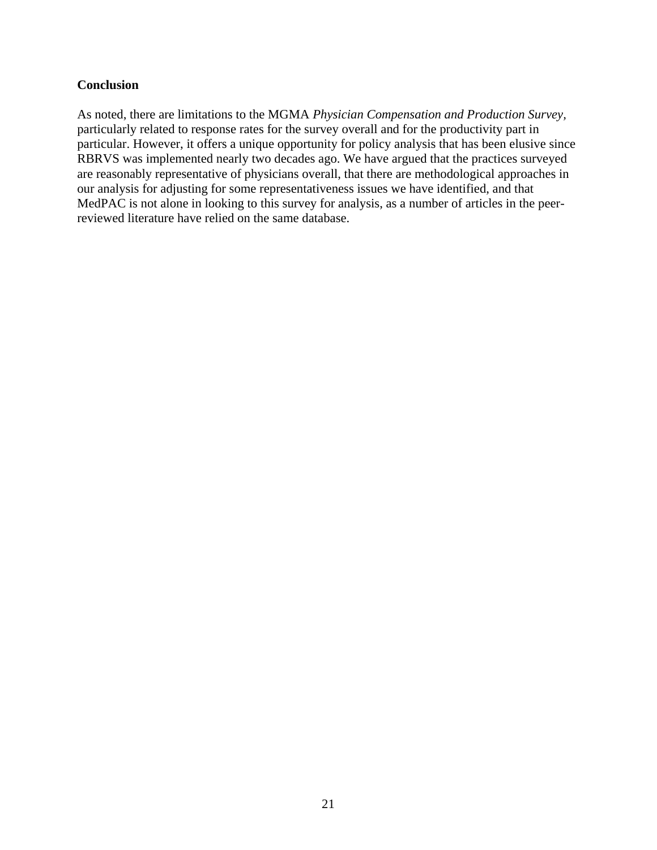#### **Conclusion**

As noted, there are limitations to the MGMA *Physician Compensation and Production Survey,*  particularly related to response rates for the survey overall and for the productivity part in particular. However, it offers a unique opportunity for policy analysis that has been elusive since RBRVS was implemented nearly two decades ago. We have argued that the practices surveyed are reasonably representative of physicians overall, that there are methodological approaches in our analysis for adjusting for some representativeness issues we have identified, and that MedPAC is not alone in looking to this survey for analysis, as a number of articles in the peerreviewed literature have relied on the same database.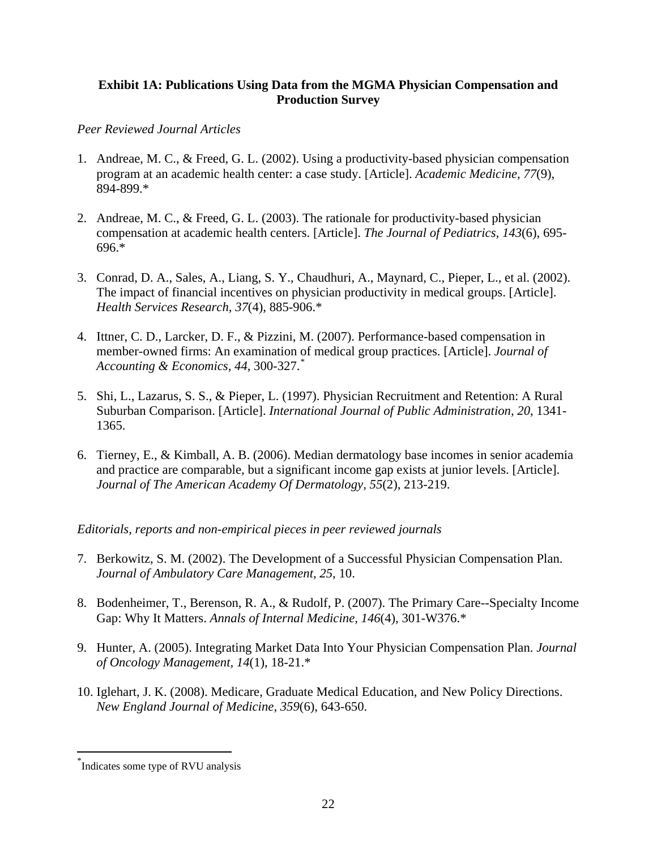#### <span id="page-23-0"></span>**Exhibit 1A: Publications Using Data from the MGMA Physician Compensation and Production Survey**

#### *Peer Reviewed Journal Articles*

- 1. Andreae, M. C., & Freed, G. L. (2002). Using a productivity-based physician compensation program at an academic health center: a case study. [Article]. *Academic Medicine, 77*(9), 894-899.\*
- 2. Andreae, M. C., & Freed, G. L. (2003). The rationale for productivity-based physician compensation at academic health centers. [Article]. *The Journal of Pediatrics, 143*(6), 695- 696.\*
- 3. Conrad, D. A., Sales, A., Liang, S. Y., Chaudhuri, A., Maynard, C., Pieper, L., et al. (2002). The impact of financial incentives on physician productivity in medical groups. [Article]. *Health Services Research, 37*(4), 885-906.\*
- 4. Ittner, C. D., Larcker, D. F., & Pizzini, M. (2007). Performance-based compensation in member-owned firms: An examination of medical group practices. [Article]. *Journal of Accounting & Economics, 44*, 300-327.[\\*](#page-23-0)
- 5. Shi, L., Lazarus, S. S., & Pieper, L. (1997). Physician Recruitment and Retention: A Rural Suburban Comparison. [Article]. *International Journal of Public Administration, 20*, 1341- 1365.
- 6. Tierney, E., & Kimball, A. B. (2006). Median dermatology base incomes in senior academia and practice are comparable, but a significant income gap exists at junior levels. [Article]. *Journal of The American Academy Of Dermatology, 55*(2), 213-219.

#### *Editorials, reports and non-empirical pieces in peer reviewed journals*

- 7. Berkowitz, S. M. (2002). The Development of a Successful Physician Compensation Plan. *Journal of Ambulatory Care Management, 25*, 10.
- 8. Bodenheimer, T., Berenson, R. A., & Rudolf, P. (2007). The Primary Care--Specialty Income Gap: Why It Matters. *Annals of Internal Medicine, 146*(4), 301-W376.\*
- 9. Hunter, A. (2005). Integrating Market Data Into Your Physician Compensation Plan. *Journal of Oncology Management, 14*(1), 18-21.\*
- 10. Iglehart, J. K. (2008). Medicare, Graduate Medical Education, and New Policy Directions. *New England Journal of Medicine, 359*(6), 643-650.

 $\overline{a}$ 

<sup>\*</sup> Indicates some type of RVU analysis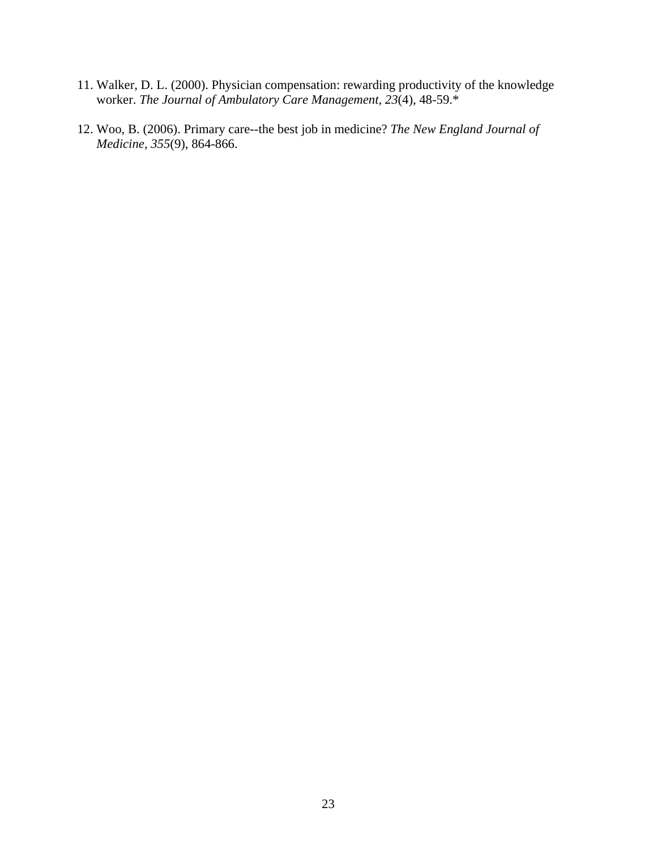- 11. Walker, D. L. (2000). Physician compensation: rewarding productivity of the knowledge worker. *The Journal of Ambulatory Care Management, 23*(4), 48-59.\*
- 12. Woo, B. (2006). Primary care--the best job in medicine? *The New England Journal of Medicine, 355*(9), 864-866.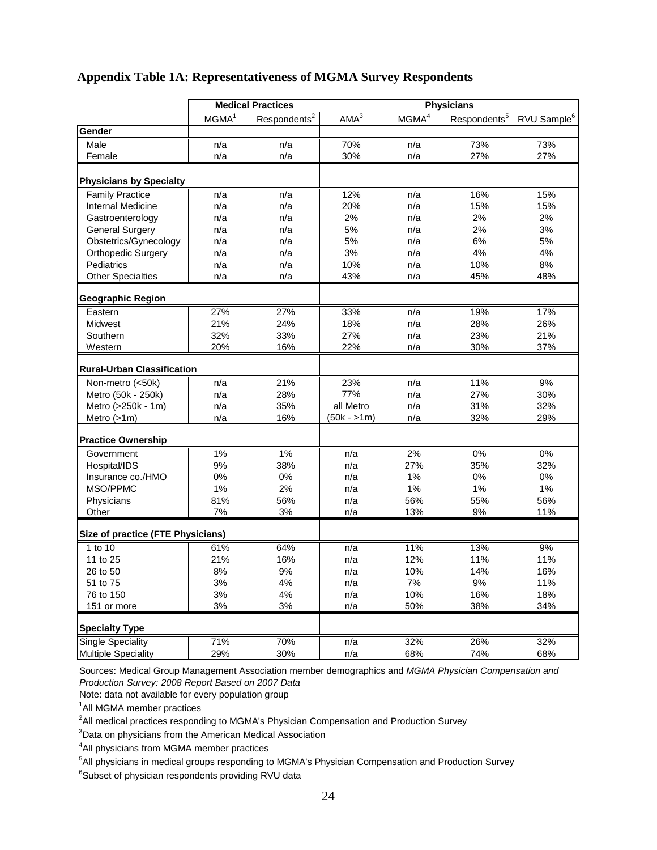#### **Appendix Table 1A: Representativeness of MGMA Survey Respondents**

|                                   |                   | <b>Medical Practices</b> |                  |                   | <b>Physicians</b>        |                         |
|-----------------------------------|-------------------|--------------------------|------------------|-------------------|--------------------------|-------------------------|
|                                   | MGMA <sup>1</sup> | Respondents <sup>2</sup> | AMA <sup>3</sup> | MGMA <sup>4</sup> | Respondents <sup>5</sup> | RVU Sample <sup>6</sup> |
| Gender                            |                   |                          |                  |                   |                          |                         |
| Male                              | n/a               | n/a                      | 70%              | n/a               | 73%                      | 73%                     |
| Female                            | n/a               | n/a                      | 30%              | n/a               | 27%                      | 27%                     |
| <b>Physicians by Specialty</b>    |                   |                          |                  |                   |                          |                         |
| <b>Family Practice</b>            | n/a               | n/a                      | 12%              | n/a               | 16%                      | 15%                     |
| <b>Internal Medicine</b>          | n/a               | n/a                      | 20%              | n/a               | 15%                      | 15%                     |
| Gastroenterology                  | n/a               | n/a                      | 2%               | n/a               | 2%                       | 2%                      |
| <b>General Surgery</b>            | n/a               | n/a                      | 5%               | n/a               | 2%                       | 3%                      |
| Obstetrics/Gynecology             | n/a               | n/a                      | 5%               | n/a               | 6%                       | 5%                      |
| <b>Orthopedic Surgery</b>         | n/a               | n/a                      | 3%               | n/a               | 4%                       | 4%                      |
| Pediatrics                        | n/a               | n/a                      | 10%              | n/a               | 10%                      | 8%                      |
| <b>Other Specialties</b>          | n/a               | n/a                      | 43%              | n/a               | 45%                      | 48%                     |
| <b>Geographic Region</b>          |                   |                          |                  |                   |                          |                         |
| Eastern                           | 27%               | 27%                      | 33%              | n/a               | 19%                      | 17%                     |
| Midwest                           | 21%               | 24%                      | 18%              | n/a               | 28%                      | 26%                     |
| Southern                          | 32%               | 33%                      | 27%              | n/a               | 23%                      | 21%                     |
| Western                           | 20%               | 16%                      | 22%              | n/a               | 30%                      | 37%                     |
| <b>Rural-Urban Classification</b> |                   |                          |                  |                   |                          |                         |
| Non-metro (<50k)                  | n/a               | 21%                      | 23%              | n/a               | 11%                      | 9%                      |
| Metro (50k - 250k)                | n/a               | 28%                      | 77%              | n/a               | 27%                      | 30%                     |
| Metro (>250k - 1m)                | n/a               | 35%                      | all Metro        | n/a               | 31%                      | 32%                     |
| Metro $(>1m)$                     | n/a               | 16%                      | (50k - >1m)      | n/a               | 32%                      | 29%                     |
| <b>Practice Ownership</b>         |                   |                          |                  |                   |                          |                         |
| Government                        | 1%                | 1%                       | n/a              | 2%                | 0%                       | 0%                      |
| Hospital/IDS                      | 9%                | 38%                      | n/a              | 27%               | 35%                      | 32%                     |
| Insurance co./HMO                 | 0%                | 0%                       | n/a              | 1%                | 0%                       | 0%                      |
| MSO/PPMC                          | 1%                | 2%                       | n/a              | 1%                | 1%                       | 1%                      |
| Physicians                        | 81%               | 56%                      | n/a              | 56%               | 55%                      | 56%                     |
| Other                             | 7%                | 3%                       | n/a              | 13%               | 9%                       | 11%                     |
| Size of practice (FTE Physicians) |                   |                          |                  |                   |                          |                         |
| 1 to 10                           | 61%               | 64%                      | n/a              | 11%               | 13%                      | 9%                      |
| 11 to 25                          | 21%               | 16%                      | n/a              | 12%               | 11%                      | 11%                     |
| 26 to 50                          | 8%                | 9%                       | n/a              | 10%               | 14%                      | 16%                     |
| 51 to 75                          | 3%                | 4%                       | n/a              | 7%                | $9%$                     | 11%                     |
| 76 to 150                         | 3%                | 4%                       | n/a              | 10%               | 16%                      | 18%                     |
| 151 or more                       | 3%                | 3%                       | n/a              | 50%               | 38%                      | 34%                     |
| <b>Specialty Type</b>             |                   |                          |                  |                   |                          |                         |
| <b>Single Speciality</b>          | 71%               | 70%                      | n/a              | 32%               | 26%                      | 32%                     |
| <b>Multiple Speciality</b>        | 29%               | 30%                      | n/a              | 68%               | 74%                      | 68%                     |

Sources: Medical Group Management Association member demographics and *MGMA Physician Compensation and Production Survey: 2008 Report Based on 2007 Data*

Note: data not available for every population group

<sup>1</sup>All MGMA member practices

 $^2$ All medical practices responding to MGMA's Physician Compensation and Production Survey

<sup>3</sup>Data on physicians from the American Medical Association

<sup>4</sup>All physicians from MGMA member practices

<sup>5</sup>All physicians in medical groups responding to MGMA's Physician Compensation and Production Survey

<sup>6</sup>Subset of physician respondents providing RVU data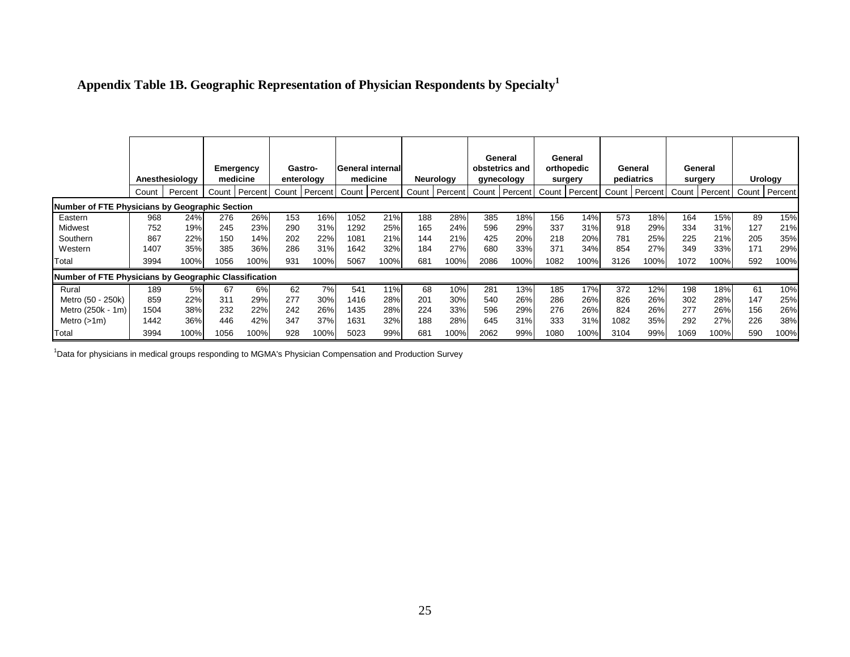| Appendix Table 1B. Geographic Representation of Physician Respondents by Specialty <sup>1</sup> |  |  |  |
|-------------------------------------------------------------------------------------------------|--|--|--|

|                                                       |       |                |                  |         |       |            |       |                          |       |           |       | General        |       | General    |      |               |       |         |       |                |
|-------------------------------------------------------|-------|----------------|------------------|---------|-------|------------|-------|--------------------------|-------|-----------|-------|----------------|-------|------------|------|---------------|-------|---------|-------|----------------|
|                                                       |       |                | <b>Emergency</b> |         |       | Gastro-    |       | <b>General internall</b> |       |           |       | obstetrics and |       | orthopedic |      | General       |       | General |       |                |
|                                                       |       | Anesthesiology | medicine         |         |       | enterology |       | medicine                 |       | Neurology |       | gynecology     |       | surgery    |      | pediatrics    |       | surgery |       | Urology        |
|                                                       | Count | Percent        | Count            | Percent | Count | Percent    | Count | Percent                  | Count | Percent   | Count | Percent        | Count | Percent    |      | Count Percent | Count | Percent | Count | <b>Percent</b> |
| Number of FTE Physicians by Geographic Section        |       |                |                  |         |       |            |       |                          |       |           |       |                |       |            |      |               |       |         |       |                |
| Eastern                                               | 968   | 24%            | 276              | 26%     | 153   | 16%        | 1052  | 21%                      | 188   | 28%       | 385   | 18%            | 156   | 14%        | 573  | 18%           | 164   | 15%     | 89    | 15%            |
| Midwest                                               | 752   | 19%            | 245              | 23%     | 290   | 31%        | 1292  | 25%                      | 165   | 24%       | 596   | 29%            | 337   | 31%        | 918  | 29%           | 334   | 31%     | 127   | 21%            |
| Southern                                              | 867   | 22%            | 150              | 14%     | 202   | 22%        | 1081  | 21%                      | 144   | 21%       | 425   | 20%            | 218   | 20%        | 781  | 25%           | 225   | 21%     | 205   | 35%            |
| Western                                               | 1407  | 35%            | 385              | 36%     | 286   | 31%        | 1642  | 32%                      | 184   | 27%       | 680   | 33%            | 371   | 34%        | 854  | 27%           | 349   | 33%     | 171   | 29%            |
| Total                                                 | 3994  | 100%           | 1056             | 100%    | 931   | 100%       | 5067  | 100%                     | 681   | 100%      | 2086  | 100%           | 1082  | 100%       | 3126 | 100%          | 1072  | 100%    | 592   | 100%           |
| Number of FTE Physicians by Geographic Classification |       |                |                  |         |       |            |       |                          |       |           |       |                |       |            |      |               |       |         |       |                |
| Rural                                                 | 189   | 5%             | 67               | 6%      | 62    | 7%         | 541   | 11%                      | 68    | 10%       | 281   | 13%            | 185   | 17%        | 372  | 12%           | 198   | 18%     | 61    | 10%            |
| Metro (50 - 250k)                                     | 859   | 22%            | 311              | 29%     | 277   | 30%        | 1416  | 28%                      | 201   | 30%       | 540   | 26%            | 286   | 26%        | 826  | 26%           | 302   | 28%     | 147   | 25%            |
| Metro (250k - 1m)                                     | 1504  | 38%            | 232              | 22%     | 242   | 26%        | 1435  | 28%                      | 224   | 33%       | 596   | 29%            | 276   | 26%        | 824  | 26%           | 277   | 26%     | 156   | 26%            |
| Metro $(>1m)$                                         | 1442  | 36%            | 446              | 42%     | 347   | 37%        | 1631  | 32%                      | 188   | 28%       | 645   | 31%            | 333   | 31%        | 1082 | 35%           | 292   | 27%     | 226   | 38%            |
| Total                                                 | 3994  | 100%           | 1056             | 100%    | 928   | 100%       | 5023  | 99%                      | 681   | 100%      | 2062  | 99%            | 1080  | 100%       | 3104 | 99%           | 1069  | 100%    | 590   | 100%           |

 $1$ Data for physicians in medical groups responding to MGMA's Physician Compensation and Production Survey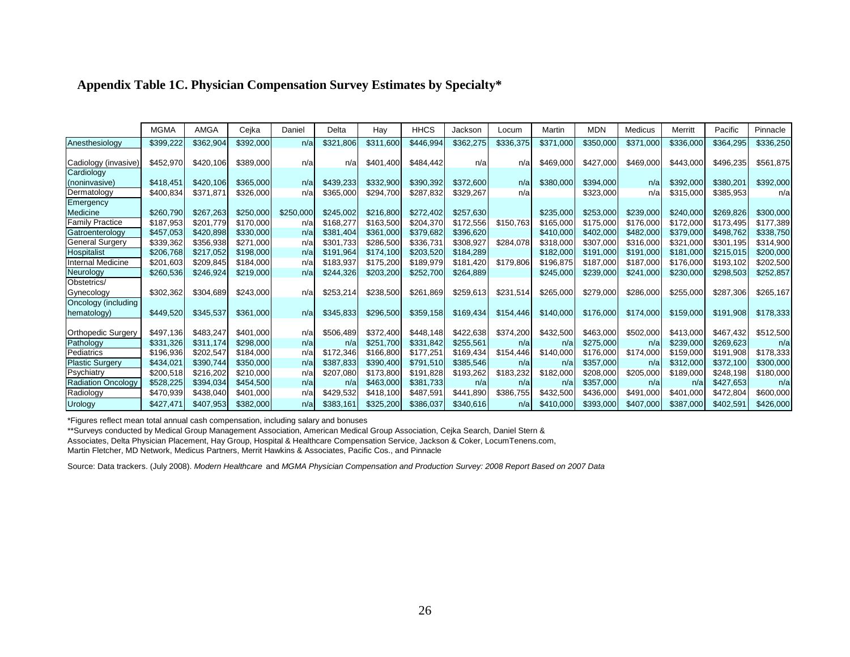|                           | <b>MGMA</b> | <b>AMGA</b> | Cejka     | Daniel    | Delta     | Hay       | <b>HHCS</b> | Jackson   | Locum     | Martin    | <b>MDN</b> | <b>Medicus</b> | Merritt   | Pacific   | Pinnacle  |
|---------------------------|-------------|-------------|-----------|-----------|-----------|-----------|-------------|-----------|-----------|-----------|------------|----------------|-----------|-----------|-----------|
| Anesthesiology            | \$399,222   | \$362,904   | \$392,000 | n/a       | \$321,806 | \$311,600 | \$446,994   | \$362,275 | \$336,375 | \$371,000 | \$350,000  | \$371,000      | \$336,000 | \$364,295 | \$336,250 |
|                           |             |             |           |           |           |           |             |           |           |           |            |                |           |           |           |
| Cadiology (invasive)      | \$452,970   | \$420.106   | \$389,000 | n/al      | n/a       | \$401.400 | \$484,442   | n/a       | n/a       | \$469,000 | \$427,000  | \$469,000      | \$443,000 | \$496,235 | \$561,875 |
| Cardiology                |             |             |           |           |           |           |             |           |           |           |            |                |           |           |           |
| (noninvasive)             | \$418.451   | \$420.106   | \$365,000 | n/a       | \$439.233 | \$332,900 | \$390.392   | \$372,600 | n/a       | \$380,000 | \$394,000  | n/a            | \$392,000 | \$380.201 | \$392,000 |
| Dermatology               | \$400,834   | \$371.871   | \$326,000 | n/a       | \$365,000 | \$294,700 | \$287,832   | \$329,267 | n/a       |           | \$323,000  | n/a            | \$315,000 | \$385,953 | n/a       |
| Emergency                 |             |             |           |           |           |           |             |           |           |           |            |                |           |           |           |
| Medicine                  | \$260,790   | \$267,263   | \$250,000 | \$250,000 | \$245.002 | \$216,800 | \$272.402   | \$257,630 |           | \$235,000 | \$253,000  | \$239,000      | \$240,000 | \$269.826 | \$300,000 |
| <b>Family Practice</b>    | \$187,953   | \$201.779   | \$170,000 | n/a       | \$168,277 | \$163,500 | \$204,370   | \$172,556 | \$150,763 | \$165,000 | \$175,000  | \$176,000      | \$172,000 | \$173,495 | \$177,389 |
| Gatroenterology           | \$457,053   | \$420,898   | \$330,000 | n/a       | \$381,404 | \$361,000 | \$379,682   | \$396,620 |           | \$410,000 | \$402,000  | \$482,000      | \$379,000 | \$498,762 | \$338,750 |
| <b>General Surgery</b>    | \$339,362   | \$356,938   | \$271,000 | n/a       | \$301,733 | \$286,500 | \$336.731   | \$308,927 | \$284,078 | \$318,000 | \$307.000  | \$316,000      | \$321,000 | \$301.195 | \$314,900 |
| Hospitalist               | \$206,768   | \$217,052   | \$198,000 | n/a       | \$191.964 | \$174.100 | \$203,520   | \$184,289 |           | \$182,000 | \$191,000  | \$191,000      | \$181,000 | \$215,015 | \$200,000 |
| Internal Medicine         | \$201,603   | \$209,845   | \$184,000 | n/a       | \$183,937 | \$175,200 | \$189.979   | \$181,420 | \$179,806 | \$196,875 | \$187,000  | \$187,000      | \$176,000 | \$193,102 | \$202,500 |
| Neurology                 | \$260,536   | \$246,924   | \$219,000 | n/a       | \$244.326 | \$203,200 | \$252,700   | \$264,889 |           | \$245,000 | \$239,000  | \$241,000      | \$230,000 | \$298,503 | \$252,857 |
| Obstetrics/               |             |             |           |           |           |           |             |           |           |           |            |                |           |           |           |
| Gynecology                | \$302,362   | \$304,689   | \$243,000 | n/a       | \$253,214 | \$238,500 | \$261,869   | \$259,613 | \$231,514 | \$265,000 | \$279,000  | \$286,000      | \$255,000 | \$287,306 | \$265,167 |
| Oncology (including       |             |             |           |           |           |           |             |           |           |           |            |                |           |           |           |
| hematology)               | \$449,520   | \$345,537   | \$361,000 | n/a       | \$345,833 | \$296,500 | \$359,158   | \$169,434 | \$154,446 | \$140,000 | \$176,000  | \$174,000      | \$159,000 | \$191,908 | \$178,333 |
|                           |             |             |           |           |           |           |             |           |           |           |            |                |           |           |           |
| <b>Orthopedic Surgery</b> | \$497.136   | \$483,247   | \$401,000 | n/a       | \$506,489 | \$372.400 | \$448,148   | \$422,638 | \$374,200 | \$432,500 | \$463,000  | \$502,000      | \$413,000 | \$467.432 | \$512,500 |
| Pathology                 | \$331,326   | \$311.174   | \$298.000 | n/a       | n/a       | \$251,700 | \$331.842   | \$255.561 | n/a       | n/a       | \$275,000  | n/a            | \$239,000 | \$269.623 | n/a       |
| Pediatrics                | \$196.936   | \$202,547   | \$184,000 | n/a       | \$172.346 | \$166,800 | \$177,251   | \$169.434 | \$154,446 | \$140,000 | \$176,000  | \$174.000      | \$159,000 | \$191.908 | \$178,333 |
| <b>Plastic Surgery</b>    | \$434.021   | \$390,744   | \$350.000 | n/a       | \$387,833 | \$390,400 | \$791.510   | \$385,546 | n/a       | n/a       | \$357,000  | n/a            | \$312,000 | \$372.100 | \$300,000 |
| Psychiatry                | \$200,518   | \$216,202   | \$210,000 | n/a       | \$207,080 | \$173,800 | \$191,828   | \$193,262 | \$183,232 | \$182,000 | \$208,000  | \$205,000      | \$189,000 | \$248,198 | \$180,000 |
| <b>Radiation Oncology</b> | \$528,225   | \$394,034   | \$454,500 | n/a       | n/a       | \$463,000 | \$381,733   | n/a       | n/a       | n/a       | \$357,000  | n/a            | n/a       | \$427,653 | n/a       |
| Radiology                 | \$470,939   | \$438,040   | \$401,000 | n/a       | \$429,532 | \$418,100 | \$487,591   | \$441,890 | \$386,755 | \$432,500 | \$436,000  | \$491.000      | \$401,000 | \$472,804 | \$600,000 |
| <b>Urology</b>            | \$427.471   | \$407,953   | \$382,000 | n/a       | \$383.161 | \$325,200 | \$386.037   | \$340,616 | n/a       | \$410,000 | \$393,000  | \$407,000      | \$387,000 | \$402,591 | \$426,000 |

#### **Appendix Table 1C. Physician Compensation Survey Estimates by Specialty\***

\*Figures reflect mean total annual cash compensation, including salary and bonuses

\*\*Surveys conducted by Medical Group Management Association, American Medical Group Association, Cejka Search, Daniel Stern &

Associates, Delta Physician Placement, Hay Group, Hospital & Healthcare Compensation Service, Jackson & Coker, LocumTenens.com,

Martin Fletcher, MD Network, Medicus Partners, Merrit Hawkins & Associates, Pacific Cos., and Pinnacle

Source: Data trackers. (July 2008). *Modern Healthcare* and *MGMA Physician Compensation and Production Survey: 2008 Report Based on 2007 Data*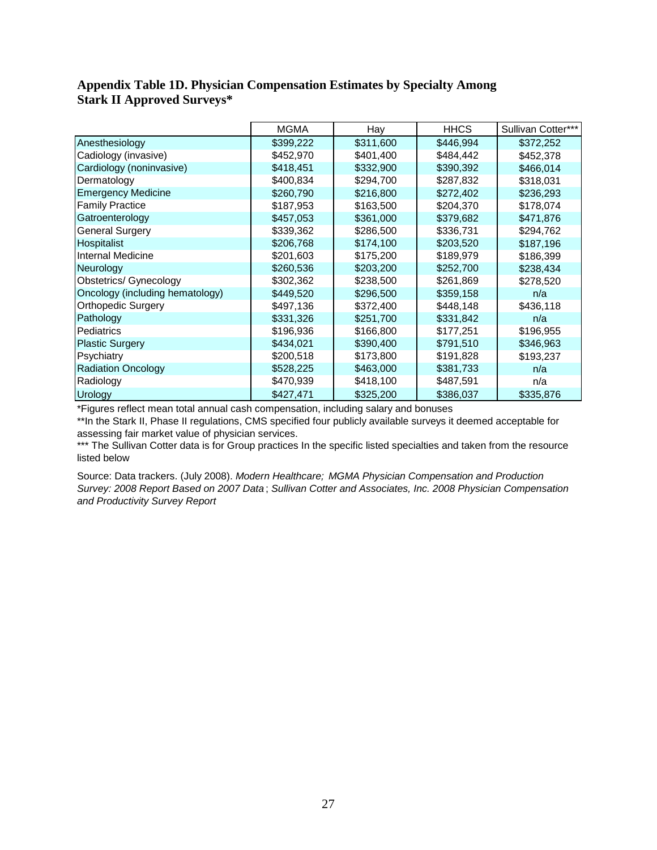#### **Appendix Table 1D. Physician Compensation Estimates by Specialty Among Stark II Approved Surveys\***

|                                 | <b>MGMA</b> | Hay       | <b>HHCS</b> | Sullivan Cotter*** |
|---------------------------------|-------------|-----------|-------------|--------------------|
| Anesthesiology                  | \$399,222   | \$311,600 | \$446,994   | \$372,252          |
| Cadiology (invasive)            | \$452,970   | \$401,400 | \$484,442   | \$452,378          |
| Cardiology (noninvasive)        | \$418,451   | \$332,900 | \$390,392   | \$466,014          |
| Dermatology                     | \$400,834   | \$294,700 | \$287,832   | \$318,031          |
| <b>Emergency Medicine</b>       | \$260,790   | \$216,800 | \$272,402   | \$236,293          |
| <b>Family Practice</b>          | \$187,953   | \$163,500 | \$204,370   | \$178,074          |
| Gatroenterology                 | \$457,053   | \$361,000 | \$379,682   | \$471,876          |
| <b>General Surgery</b>          | \$339,362   | \$286,500 | \$336,731   | \$294,762          |
| <b>Hospitalist</b>              | \$206,768   | \$174,100 | \$203,520   | \$187,196          |
| Internal Medicine               | \$201,603   | \$175,200 | \$189,979   | \$186,399          |
| Neurology                       | \$260,536   | \$203,200 | \$252,700   | \$238,434          |
| <b>Obstetrics/ Gynecology</b>   | \$302,362   | \$238,500 | \$261,869   | \$278,520          |
| Oncology (including hematology) | \$449,520   | \$296,500 | \$359,158   | n/a                |
| <b>Orthopedic Surgery</b>       | \$497,136   | \$372,400 | \$448,148   | \$436,118          |
| Pathology                       | \$331,326   | \$251,700 | \$331,842   | n/a                |
| <b>Pediatrics</b>               | \$196,936   | \$166,800 | \$177,251   | \$196,955          |
| <b>Plastic Surgery</b>          | \$434,021   | \$390,400 | \$791,510   | \$346,963          |
| Psychiatry                      | \$200,518   | \$173,800 | \$191,828   | \$193,237          |
| <b>Radiation Oncology</b>       | \$528,225   | \$463,000 | \$381,733   | n/a                |
| Radiology                       | \$470,939   | \$418,100 | \$487,591   | n/a                |
| Urology                         | \$427,471   | \$325,200 | \$386,037   | \$335,876          |

\*Figures reflect mean total annual cash compensation, including salary and bonuses

\*\*In the Stark II, Phase II regulations, CMS specified four publicly available surveys it deemed acceptable for assessing fair market value of physician services.

\*\*\* The Sullivan Cotter data is for Group practices In the specific listed specialties and taken from the resource listed below

Source: Data trackers. (July 2008). *Modern Healthcare; MGMA Physician Compensation and Production Survey: 2008 Report Based on 2007 Data* ; *Sullivan Cotter and Associates, Inc. 2008 Physician Compensation and Productivity Survey Report*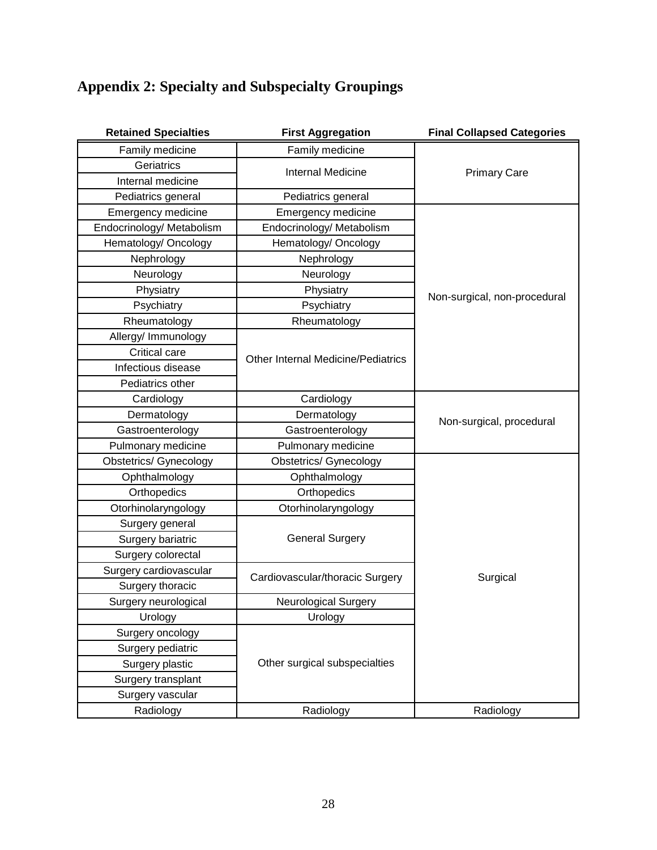# **Appendix 2: Specialty and Subspecialty Groupings**

| <b>Retained Specialties</b>   | <b>First Aggregation</b>                                                                   | <b>Final Collapsed Categories</b> |
|-------------------------------|--------------------------------------------------------------------------------------------|-----------------------------------|
| Family medicine               | Family medicine                                                                            |                                   |
| Geriatrics                    | <b>Internal Medicine</b>                                                                   | <b>Primary Care</b>               |
| Internal medicine             |                                                                                            |                                   |
| Pediatrics general            | Pediatrics general                                                                         |                                   |
| <b>Emergency medicine</b>     | <b>Emergency medicine</b>                                                                  |                                   |
| Endocrinology/ Metabolism     | Endocrinology/ Metabolism                                                                  |                                   |
| Hematology/ Oncology          | Hematology/ Oncology                                                                       |                                   |
| Nephrology                    | Nephrology<br>Neurology<br>Neurology<br>Physiatry<br>Physiatry<br>Psychiatry<br>Psychiatry |                                   |
|                               |                                                                                            |                                   |
|                               |                                                                                            |                                   |
|                               |                                                                                            |                                   |
| Rheumatology                  | Rheumatology                                                                               |                                   |
| Allergy/ Immunology           |                                                                                            |                                   |
| Critical care                 |                                                                                            |                                   |
| Infectious disease            | <b>Other Internal Medicine/Pediatrics</b>                                                  |                                   |
| Pediatrics other              |                                                                                            |                                   |
| Cardiology                    | Cardiology                                                                                 |                                   |
| Dermatology                   | Dermatology                                                                                | Non-surgical, procedural          |
| Gastroenterology              | Gastroenterology                                                                           |                                   |
| Pulmonary medicine            | Pulmonary medicine                                                                         |                                   |
| <b>Obstetrics/ Gynecology</b> | <b>Obstetrics/ Gynecology</b>                                                              |                                   |
| Ophthalmology                 | Ophthalmology                                                                              |                                   |
| Orthopedics                   | Orthopedics                                                                                |                                   |
| Otorhinolaryngology           | Otorhinolaryngology                                                                        |                                   |
| Surgery general               |                                                                                            |                                   |
| Surgery bariatric             | <b>General Surgery</b>                                                                     |                                   |
| Surgery colorectal            |                                                                                            |                                   |
| Surgery cardiovascular        | Cardiovascular/thoracic Surgery                                                            | Surgical                          |
| Surgery thoracic              |                                                                                            |                                   |
| Surgery neurological          | <b>Neurological Surgery</b>                                                                |                                   |
| Urology                       | Urology                                                                                    |                                   |
| Surgery oncology              |                                                                                            |                                   |
| Surgery pediatric             |                                                                                            |                                   |
| Surgery plastic               | Other surgical subspecialties                                                              |                                   |
| Surgery transplant            |                                                                                            |                                   |
| Surgery vascular              |                                                                                            |                                   |
| Radiology                     | Radiology                                                                                  | Radiology                         |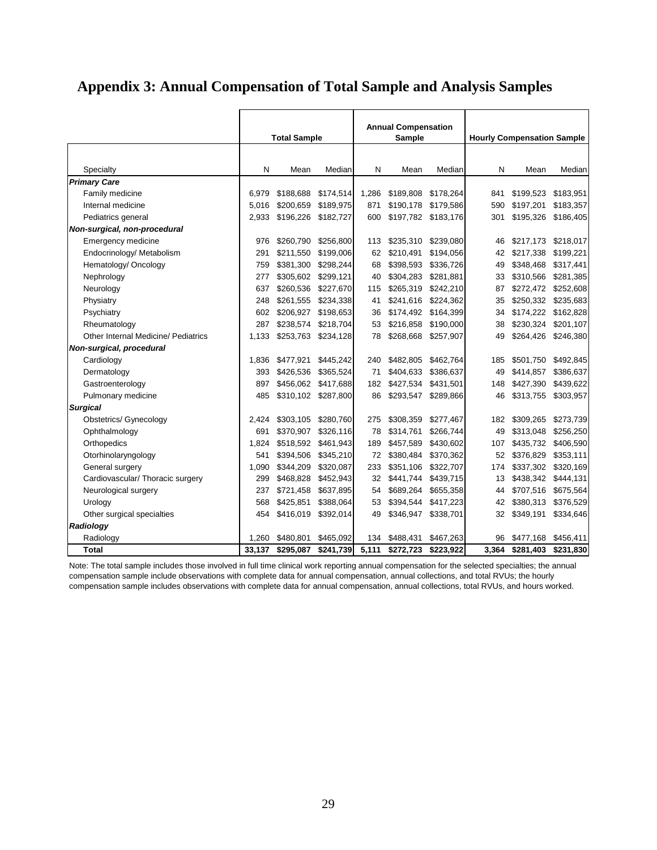# **Appendix 3: Annual Compensation of Total Sample and Analysis Samples**

|                                            | <b>Total Sample</b> |           |           |       | <b>Annual Compensation</b><br><b>Sample</b> |           | <b>Hourly Compensation Sample</b> |           |           |  |
|--------------------------------------------|---------------------|-----------|-----------|-------|---------------------------------------------|-----------|-----------------------------------|-----------|-----------|--|
| Specialty                                  | N                   | Mean      | Median    | N     | Mean                                        | Median    | N                                 | Mean      | Median    |  |
| <b>Primary Care</b>                        |                     |           |           |       |                                             |           |                                   |           |           |  |
| Family medicine                            | 6,979               | \$188,688 | \$174,514 | 1,286 | \$189,808                                   | \$178,264 | 841                               | \$199,523 | \$183,951 |  |
| Internal medicine                          | 5.016               | \$200,659 | \$189,975 | 871   | \$190.178                                   | \$179,586 | 590                               | \$197,201 | \$183,357 |  |
| Pediatrics general                         | 2,933               | \$196,226 | \$182,727 | 600   | \$197,782                                   | \$183,176 | 301                               | \$195,326 | \$186,405 |  |
| Non-surgical, non-procedural               |                     |           |           |       |                                             |           |                                   |           |           |  |
| Emergency medicine                         | 976                 | \$260,790 | \$256,800 | 113   | \$235,310                                   | \$239,080 | 46                                | \$217,173 | \$218,017 |  |
| Endocrinology/ Metabolism                  | 291                 | \$211,550 | \$199,006 | 62    | \$210,491                                   | \$194,056 | 42                                | \$217,338 | \$199,221 |  |
| Hematology/ Oncology                       | 759                 | \$381,300 | \$298,244 | 68    | \$398,593                                   | \$336,726 | 49                                | \$348,468 | \$317,441 |  |
| Nephrology                                 | 277                 | \$305,602 | \$299,121 | 40    | \$304,283                                   | \$281,881 | 33                                | \$310,566 | \$281,385 |  |
| Neurology                                  | 637                 | \$260,536 | \$227,670 | 115   | \$265,319                                   | \$242,210 | 87                                | \$272,472 | \$252,608 |  |
| Physiatry                                  | 248                 | \$261,555 | \$234,338 | 41    | \$241,616                                   | \$224,362 | 35                                | \$250,332 | \$235,683 |  |
| Psychiatry                                 | 602                 | \$206,927 | \$198,653 | 36    | \$174,492                                   | \$164,399 | 34                                | \$174,222 | \$162,828 |  |
| Rheumatology                               | 287                 | \$238,574 | \$218,704 | 53    | \$216,858                                   | \$190,000 | 38                                | \$230,324 | \$201,107 |  |
| <b>Other Internal Medicine/ Pediatrics</b> | 1,133               | \$253,763 | \$234,128 | 78    | \$268,668                                   | \$257,907 | 49                                | \$264,426 | \$246,380 |  |
| Non-surgical, procedural                   |                     |           |           |       |                                             |           |                                   |           |           |  |
| Cardiology                                 | 1,836               | \$477,921 | \$445,242 | 240   | \$482,805                                   | \$462,764 | 185                               | \$501,750 | \$492,845 |  |
| Dermatology                                | 393                 | \$426,536 | \$365,524 | 71    | \$404,633                                   | \$386,637 | 49                                | \$414,857 | \$386,637 |  |
| Gastroenterology                           | 897                 | \$456,062 | \$417,688 | 182   | \$427,534                                   | \$431,501 | 148                               | \$427,390 | \$439,622 |  |
| Pulmonary medicine                         | 485                 | \$310,102 | \$287,800 | 86    | \$293,547                                   | \$289,866 | 46                                | \$313,755 | \$303,957 |  |
| <b>Surgical</b>                            |                     |           |           |       |                                             |           |                                   |           |           |  |
| <b>Obstetrics/ Gynecology</b>              | 2,424               | \$303,105 | \$280,760 | 275   | \$308,359                                   | \$277,467 | 182                               | \$309,265 | \$273,739 |  |
| Ophthalmology                              | 691                 | \$370,907 | \$326,116 | 78    | \$314,761                                   | \$266,744 | 49                                | \$313,048 | \$256,250 |  |
| Orthopedics                                | 1,824               | \$518,592 | \$461,943 | 189   | \$457,589                                   | \$430,602 | 107                               | \$435,732 | \$406,590 |  |
| Otorhinolaryngology                        | 541                 | \$394,506 | \$345,210 | 72    | \$380,484                                   | \$370,362 | 52                                | \$376,829 | \$353,111 |  |
| General surgery                            | 1,090               | \$344,209 | \$320,087 | 233   | \$351,106                                   | \$322,707 | 174                               | \$337,302 | \$320,169 |  |
| Cardiovascular/ Thoracic surgery           | 299                 | \$468,828 | \$452,943 | 32    | \$441,744                                   | \$439,715 | 13                                | \$438,342 | \$444,131 |  |
| Neurological surgery                       | 237                 | \$721,458 | \$637,895 | 54    | \$689,264                                   | \$655,358 | 44                                | \$707,516 | \$675,564 |  |
| Urology                                    | 568                 | \$425,851 | \$388,064 | 53    | \$394,544                                   | \$417,223 | 42                                | \$380,313 | \$376,529 |  |
| Other surgical specialties                 | 454                 | \$416,019 | \$392,014 | 49    | \$346,947                                   | \$338,701 | 32                                | \$349,191 | \$334,646 |  |
| Radiology                                  |                     |           |           |       |                                             |           |                                   |           |           |  |
| Radiology                                  | 1.260               | \$480.801 | \$465,092 | 134   | \$488,431                                   | \$467,263 | 96                                | \$477,168 | \$456,411 |  |
| <b>Total</b>                               | 33,137              | \$295,087 | \$241,739 | 5,111 | \$272,723                                   | \$223,922 | 3,364                             | \$281,403 | \$231,830 |  |

Note: The total sample includes those involved in full time clinical work reporting annual compensation for the selected specialties; the annual compensation sample include observations with complete data for annual compensation, annual collections, and total RVUs; the hourly compensation sample includes observations with complete data for annual compensation, annual collections, total RVUs, and hours worked.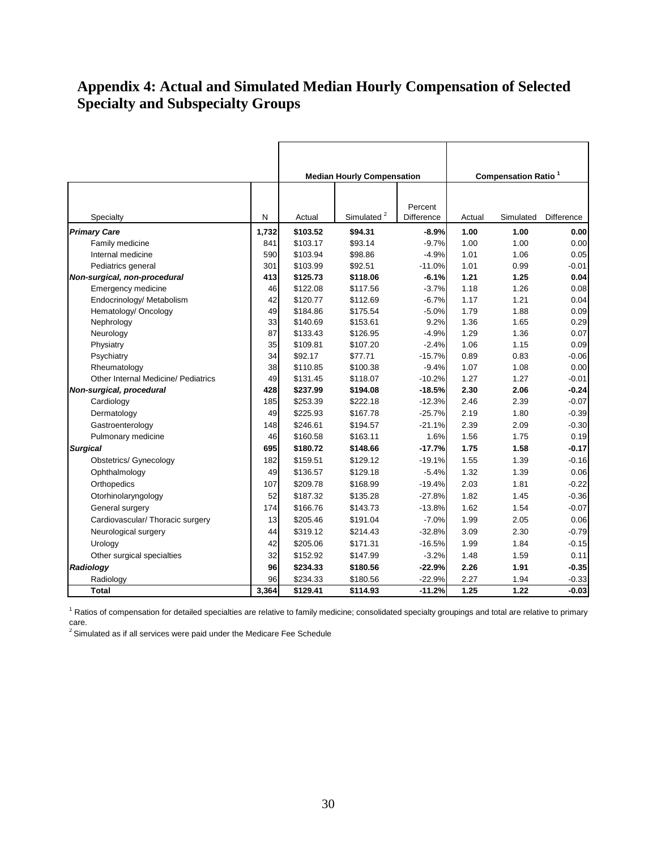## **Appendix 4: Actual and Simulated Median Hourly Compensation of Selected Specialty and Subspecialty Groups**

|                                     |       |          | <b>Median Hourly Compensation</b> |                       |        | <b>Compensation Ratio<sup>1</sup></b> |                   |
|-------------------------------------|-------|----------|-----------------------------------|-----------------------|--------|---------------------------------------|-------------------|
| Specialty                           | N     | Actual   | Simulated <sup>2</sup>            | Percent<br>Difference | Actual | Simulated                             | <b>Difference</b> |
| <b>Primary Care</b>                 | 1,732 | \$103.52 | \$94.31                           | $-8.9%$               | 1.00   | 1.00                                  | 0.00              |
| Family medicine                     | 841   | \$103.17 | \$93.14                           | $-9.7%$               | 1.00   | 1.00                                  | 0.00              |
| Internal medicine                   | 590   | \$103.94 | \$98.86                           | $-4.9%$               | 1.01   | 1.06                                  | 0.05              |
| Pediatrics general                  | 301   | \$103.99 | \$92.51                           | $-11.0%$              | 1.01   | 0.99                                  | $-0.01$           |
| Non-surgical, non-procedural        | 413   | \$125.73 | \$118.06                          | $-6.1%$               | 1.21   | 1.25                                  | 0.04              |
| <b>Emergency medicine</b>           | 46    | \$122.08 | \$117.56                          | $-3.7%$               | 1.18   | 1.26                                  | 0.08              |
| Endocrinology/ Metabolism           | 42    | \$120.77 | \$112.69                          | $-6.7%$               | 1.17   | 1.21                                  | 0.04              |
| Hematology/ Oncology                | 49    | \$184.86 | \$175.54                          | $-5.0%$               | 1.79   | 1.88                                  | 0.09              |
| Nephrology                          | 33    | \$140.69 | \$153.61                          | 9.2%                  | 1.36   | 1.65                                  | 0.29              |
| Neurology                           | 87    | \$133.43 | \$126.95                          | $-4.9%$               | 1.29   | 1.36                                  | 0.07              |
| Physiatry                           | 35    | \$109.81 | \$107.20                          | $-2.4%$               | 1.06   | 1.15                                  | 0.09              |
| Psychiatry                          | 34    | \$92.17  | \$77.71                           | $-15.7%$              | 0.89   | 0.83                                  | $-0.06$           |
| Rheumatology                        | 38    | \$110.85 | \$100.38                          | $-9.4%$               | 1.07   | 1.08                                  | 0.00              |
| Other Internal Medicine/ Pediatrics | 49    | \$131.45 | \$118.07                          | $-10.2%$              | 1.27   | 1.27                                  | $-0.01$           |
| Non-surgical, procedural            | 428   | \$237.99 | \$194.08                          | $-18.5%$              | 2.30   | 2.06                                  | $-0.24$           |
| Cardiology                          | 185   | \$253.39 | \$222.18                          | $-12.3%$              | 2.46   | 2.39                                  | $-0.07$           |
| Dermatology                         | 49    | \$225.93 | \$167.78                          | $-25.7%$              | 2.19   | 1.80                                  | $-0.39$           |
| Gastroenterology                    | 148   | \$246.61 | \$194.57                          | $-21.1%$              | 2.39   | 2.09                                  | $-0.30$           |
| Pulmonary medicine                  | 46    | \$160.58 | \$163.11                          | 1.6%                  | 1.56   | 1.75                                  | 0.19              |
| <b>Surgical</b>                     | 695   | \$180.72 | \$148.66                          | $-17.7%$              | 1.75   | 1.58                                  | $-0.17$           |
| <b>Obstetrics/ Gynecology</b>       | 182   | \$159.51 | \$129.12                          | $-19.1%$              | 1.55   | 1.39                                  | $-0.16$           |
| Ophthalmology                       | 49    | \$136.57 | \$129.18                          | $-5.4%$               | 1.32   | 1.39                                  | 0.06              |
| Orthopedics                         | 107   | \$209.78 | \$168.99                          | $-19.4%$              | 2.03   | 1.81                                  | $-0.22$           |
| Otorhinolaryngology                 | 52    | \$187.32 | \$135.28                          | $-27.8%$              | 1.82   | 1.45                                  | $-0.36$           |
| General surgery                     | 174   | \$166.76 | \$143.73                          | $-13.8%$              | 1.62   | 1.54                                  | $-0.07$           |
| Cardiovascular/ Thoracic surgery    | 13    | \$205.46 | \$191.04                          | $-7.0%$               | 1.99   | 2.05                                  | 0.06              |
| Neurological surgery                | 44    | \$319.12 | \$214.43                          | $-32.8%$              | 3.09   | 2.30                                  | $-0.79$           |
| Urology                             | 42    | \$205.06 | \$171.31                          | $-16.5%$              | 1.99   | 1.84                                  | $-0.15$           |
| Other surgical specialties          | 32    | \$152.92 | \$147.99                          | $-3.2%$               | 1.48   | 1.59                                  | 0.11              |
| Radiology                           | 96    | \$234.33 | \$180.56                          | $-22.9%$              | 2.26   | 1.91                                  | $-0.35$           |
| Radiology                           | 96    | \$234.33 | \$180.56                          | $-22.9%$              | 2.27   | 1.94                                  | $-0.33$           |
| <b>Total</b>                        | 3,364 | \$129.41 | \$114.93                          | $-11.2%$              | 1.25   | 1.22                                  | $-0.03$           |

 $1$  Ratios of compensation for detailed specialties are relative to family medicine; consolidated specialty groupings and total are relative to primary care.

 $2$  Simulated as if all services were paid under the Medicare Fee Schedule